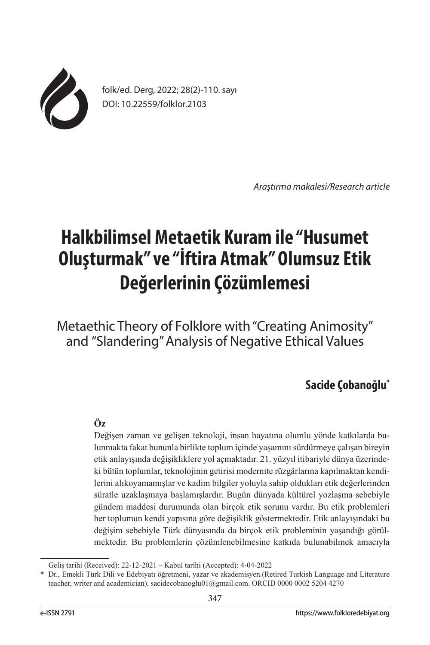

folk/ed. Derg, 2022; 28(2)-110. sayı DOI: 10.22559/folklor.2103

*Araştırma makalesi/Research article*

# **Halkbilimsel Metaetik Kuram ile "Husumet Oluşturmak" ve "İftira Atmak" Olumsuz Etik Değerlerinin Çözümlemesi**

Metaethic Theory of Folklore with"Creating Animosity" and "Slandering" Analysis of Negative Ethical Values

# **Sacide Çobanoğlu\***

# **Öz**

Değişen zaman ve gelişen teknoloji, insan hayatına olumlu yönde katkılarda bulunmakta fakat bununla birlikte toplum içinde yaşamını sürdürmeye çalışan bireyin etik anlayışında değişikliklere yol açmaktadır. 21. yüzyıl itibariyle dünya üzerindeki bütün toplumlar, teknolojinin getirisi modernite rüzgârlarına kapılmaktan kendilerini alıkoyamamışlar ve kadim bilgiler yoluyla sahip oldukları etik değerlerinden süratle uzaklaşmaya başlamışlardır. Bugün dünyada kültürel yozlaşma sebebiyle gündem maddesi durumunda olan birçok etik sorunu vardır. Bu etik problemleri her toplumun kendi yapısına göre değişiklik göstermektedir. Etik anlayışındaki bu değişim sebebiyle Türk dünyasında da birçok etik probleminin yaşandığı görülmektedir. Bu problemlerin çözümlenebilmesine katkıda bulunabilmek amacıyla

Geliş tarihi (Received): 22-12-2021 – Kabul tarihi (Accepted): 4-04-2022

<sup>\*</sup> Dr., Emekli Türk Dili ve Edebiyatı öğretmeni, yazar ve akademisyen.(Retired Turkish Language and Literature teacher, writer and academician). sacidecobanoglu01@gmail.com. ORCID 0000 0002 5204 4270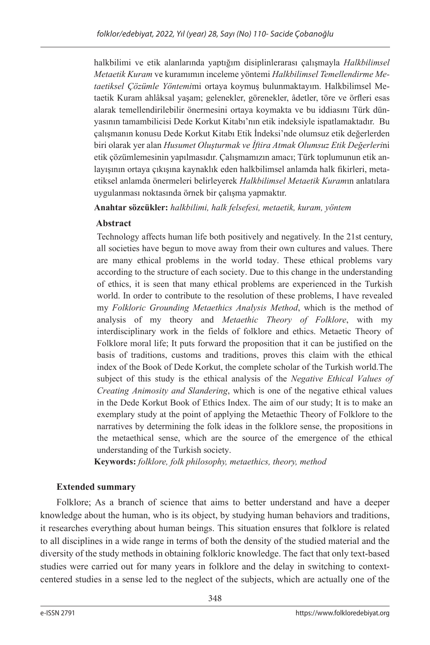halkbilimi ve etik alanlarında yaptığım disiplinlerarası çalışmayla *Halkbilimsel Metaetik Kuram* ve kuramımın inceleme yöntemi *Halkbilimsel Temellendirme Metaetiksel Çözümle Yöntemi*mi ortaya koymuş bulunmaktayım. Halkbilimsel Metaetik Kuram ahlâksal yaşam; gelenekler, görenekler, âdetler, töre ve örfleri esas alarak temellendirilebilir önermesini ortaya koymakta ve bu iddiasını Türk dünyasının tamambilicisi Dede Korkut Kitabı'nın etik indeksiyle ispatlamaktadır. Bu çalışmanın konusu Dede Korkut Kitabı Etik İndeksi'nde olumsuz etik değerlerden biri olarak yer alan *Husumet Oluşturmak ve İftira Atmak Olumsuz Etik Değerleri*ni etik çözümlemesinin yapılmasıdır. Çalışmamızın amacı; Türk toplumunun etik anlayışının ortaya çıkışına kaynaklık eden halkbilimsel anlamda halk fikirleri, metaetiksel anlamda önermeleri belirleyerek *Halkbilimsel Metaetik Kuram*ın anlatılara uygulanması noktasında örnek bir çalışma yapmaktır.

**Anahtar sözcükler:** *halkbilimi, halk felsefesi, metaetik, kuram, yöntem*

## **Abstract**

Technology affects human life both positively and negatively. In the 21st century, all societies have begun to move away from their own cultures and values. There are many ethical problems in the world today. These ethical problems vary according to the structure of each society. Due to this change in the understanding of ethics, it is seen that many ethical problems are experienced in the Turkish world. In order to contribute to the resolution of these problems, I have revealed my *Folkloric Grounding Metaethics Analysis Method*, which is the method of analysis of my theory and *Metaethic Theory of Folklore*, with my interdisciplinary work in the fields of folklore and ethics. Metaetic Theory of Folklore moral life; It puts forward the proposition that it can be justified on the basis of traditions, customs and traditions, proves this claim with the ethical index of the Book of Dede Korkut, the complete scholar of the Turkish world.The subject of this study is the ethical analysis of the *Negative Ethical Values of Creating Animosity and Slandering*, which is one of the negative ethical values in the Dede Korkut Book of Ethics Index. The aim of our study; It is to make an exemplary study at the point of applying the Metaethic Theory of Folklore to the narratives by determining the folk ideas in the folklore sense, the propositions in the metaethical sense, which are the source of the emergence of the ethical understanding of the Turkish society.

**Keywords:** *folklore, folk philosophy, metaethics, theory, method*

## **Extended summary**

Folklore; As a branch of science that aims to better understand and have a deeper knowledge about the human, who is its object, by studying human behaviors and traditions, it researches everything about human beings. This situation ensures that folklore is related to all disciplines in a wide range in terms of both the density of the studied material and the diversity of the study methods in obtaining folkloric knowledge. The fact that only text-based studies were carried out for many years in folklore and the delay in switching to contextcentered studies in a sense led to the neglect of the subjects, which are actually one of the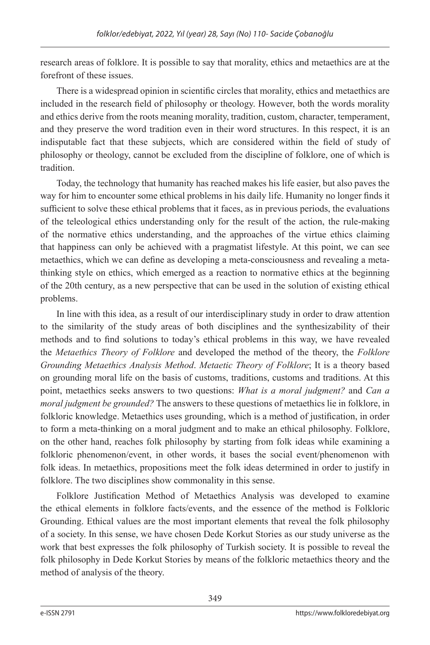research areas of folklore. It is possible to say that morality, ethics and metaethics are at the forefront of these issues.

There is a widespread opinion in scientific circles that morality, ethics and metaethics are included in the research field of philosophy or theology. However, both the words morality and ethics derive from the roots meaning morality, tradition, custom, character, temperament, and they preserve the word tradition even in their word structures. In this respect, it is an indisputable fact that these subjects, which are considered within the field of study of philosophy or theology, cannot be excluded from the discipline of folklore, one of which is tradition.

Today, the technology that humanity has reached makes his life easier, but also paves the way for him to encounter some ethical problems in his daily life. Humanity no longer finds it sufficient to solve these ethical problems that it faces, as in previous periods, the evaluations of the teleological ethics understanding only for the result of the action, the rule-making of the normative ethics understanding, and the approaches of the virtue ethics claiming that happiness can only be achieved with a pragmatist lifestyle. At this point, we can see metaethics, which we can define as developing a meta-consciousness and revealing a metathinking style on ethics, which emerged as a reaction to normative ethics at the beginning of the 20th century, as a new perspective that can be used in the solution of existing ethical problems.

In line with this idea, as a result of our interdisciplinary study in order to draw attention to the similarity of the study areas of both disciplines and the synthesizability of their methods and to find solutions to today's ethical problems in this way, we have revealed the *Metaethics Theory of Folklore* and developed the method of the theory, the *Folklore Grounding Metaethics Analysis Method*. *Metaetic Theory of Folklore*; It is a theory based on grounding moral life on the basis of customs, traditions, customs and traditions. At this point, metaethics seeks answers to two questions: *What is a moral judgment?* and *Can a moral judgment be grounded?* The answers to these questions of metaethics lie in folklore, in folkloric knowledge. Metaethics uses grounding, which is a method of justification, in order to form a meta-thinking on a moral judgment and to make an ethical philosophy. Folklore, on the other hand, reaches folk philosophy by starting from folk ideas while examining a folkloric phenomenon/event, in other words, it bases the social event/phenomenon with folk ideas. In metaethics, propositions meet the folk ideas determined in order to justify in folklore. The two disciplines show commonality in this sense.

Folklore Justification Method of Metaethics Analysis was developed to examine the ethical elements in folklore facts/events, and the essence of the method is Folkloric Grounding. Ethical values are the most important elements that reveal the folk philosophy of a society. In this sense, we have chosen Dede Korkut Stories as our study universe as the work that best expresses the folk philosophy of Turkish society. It is possible to reveal the folk philosophy in Dede Korkut Stories by means of the folkloric metaethics theory and the method of analysis of the theory.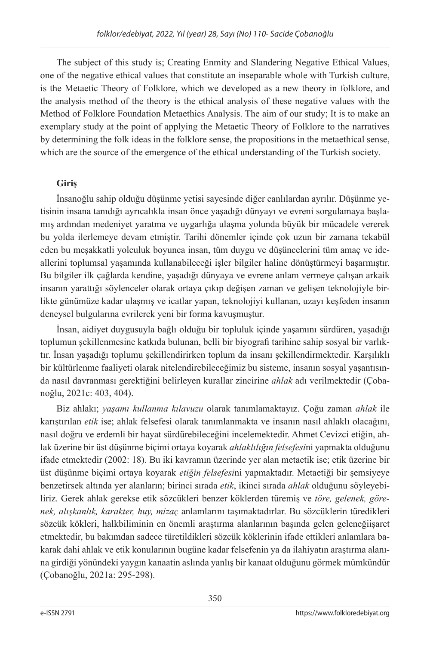The subject of this study is; Creating Enmity and Slandering Negative Ethical Values, one of the negative ethical values that constitute an inseparable whole with Turkish culture, is the Metaetic Theory of Folklore, which we developed as a new theory in folklore, and the analysis method of the theory is the ethical analysis of these negative values with the Method of Folklore Foundation Metaethics Analysis. The aim of our study; It is to make an exemplary study at the point of applying the Metaetic Theory of Folklore to the narratives by determining the folk ideas in the folklore sense, the propositions in the metaethical sense, which are the source of the emergence of the ethical understanding of the Turkish society.

# **Giriş**

İnsanoğlu sahip olduğu düşünme yetisi sayesinde diğer canlılardan ayrılır. Düşünme yetisinin insana tanıdığı ayrıcalıkla insan önce yaşadığı dünyayı ve evreni sorgulamaya başlamış ardından medeniyet yaratma ve uygarlığa ulaşma yolunda büyük bir mücadele vererek bu yolda ilerlemeye devam etmiştir. Tarihi dönemler içinde çok uzun bir zamana tekabül eden bu meşakkatli yolculuk boyunca insan, tüm duygu ve düşüncelerini tüm amaç ve ideallerini toplumsal yaşamında kullanabileceği işler bilgiler haline dönüştürmeyi başarmıştır. Bu bilgiler ilk çağlarda kendine, yaşadığı dünyaya ve evrene anlam vermeye çalışan arkaik insanın yarattığı söylenceler olarak ortaya çıkıp değişen zaman ve gelişen teknolojiyle birlikte günümüze kadar ulaşmış ve icatlar yapan, teknolojiyi kullanan, uzayı keşfeden insanın deneysel bulgularına evrilerek yeni bir forma kavuşmuştur.

İnsan, aidiyet duygusuyla bağlı olduğu bir topluluk içinde yaşamını sürdüren, yaşadığı toplumun şekillenmesine katkıda bulunan, belli bir biyografi tarihine sahip sosyal bir varlıktır. İnsan yaşadığı toplumu şekillendirirken toplum da insanı şekillendirmektedir. Karşılıklı bir kültürlenme faaliyeti olarak nitelendirebileceğimiz bu sisteme, insanın sosyal yaşantısında nasıl davranması gerektiğini belirleyen kurallar zincirine *ahlak* adı verilmektedir (Çobanoğlu, 2021c: 403, 404).

Biz ahlakı; *yaşamı kullanma kılavuzu* olarak tanımlamaktayız. Çoğu zaman *ahlak* ile karıştırılan *etik* ise; ahlak felsefesi olarak tanımlanmakta ve insanın nasıl ahlaklı olacağını, nasıl doğru ve erdemli bir hayat sürdürebileceğini incelemektedir. Ahmet Cevizci etiğin, ahlak üzerine bir üst düşünme biçimi ortaya koyarak *ahlaklılığın felsefesi*ni yapmakta olduğunu ifade etmektedir (2002: 18). Bu iki kavramın üzerinde yer alan metaetik ise; etik üzerine bir üst düşünme biçimi ortaya koyarak *etiğin felsefesi*ni yapmaktadır. Metaetiği bir şemsiyeye benzetirsek altında yer alanların; birinci sırada *etik*, ikinci sırada *ahlak* olduğunu söyleyebiliriz. Gerek ahlak gerekse etik sözcükleri benzer köklerden türemiş ve *töre, gelenek, görenek, alışkanlık, karakter, huy, mizaç* anlamlarını taşımaktadırlar. Bu sözcüklerin türedikleri sözcük kökleri, halkbiliminin en önemli araştırma alanlarının başında gelen geleneğiişaret etmektedir, bu bakımdan sadece türetildikleri sözcük köklerinin ifade ettikleri anlamlara bakarak dahi ahlak ve etik konularının bugüne kadar felsefenin ya da ilahiyatın araştırma alanına girdiği yönündeki yaygın kanaatin aslında yanlış bir kanaat olduğunu görmek mümkündür (Çobanoğlu, 2021a: 295-298).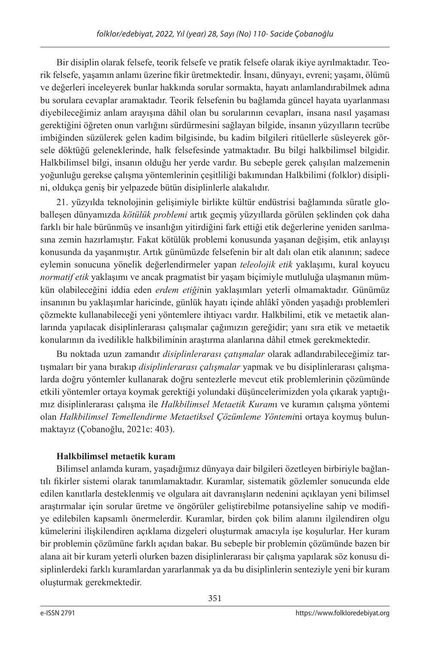Bir disiplin olarak felsefe, teorik felsefe ve pratik felsefe olarak ikiye ayrılmaktadır. Teorik felsefe, yaşamın anlamı üzerine fikir üretmektedir. İnsanı, dünyayı, evreni; yaşamı, ölümü ve değerleri inceleyerek bunlar hakkında sorular sormakta, hayatı anlamlandırabilmek adına bu sorulara cevaplar aramaktadır. Teorik felsefenin bu bağlamda güncel hayata uyarlanması diyebileceğimiz anlam arayışına dâhil olan bu sorularının cevapları, insana nasıl yaşaması gerektiğini öğreten onun varlığını sürdürmesini sağlayan bilgide, insanın yüzyılların tecrübe imbiğinden süzülerek gelen kadim bilgisinde, bu kadim bilgileri ritüellerle süsleyerek görsele döktüğü geleneklerinde, halk felsefesinde yatmaktadır. Bu bilgi halkbilimsel bilgidir. Halkbilimsel bilgi, insanın olduğu her yerde vardır. Bu sebeple gerek çalışılan malzemenin yoğunluğu gerekse çalışma yöntemlerinin çeşitliliği bakımından Halkbilimi (folklor) disiplini, oldukça geniş bir yelpazede bütün disiplinlerle alakalıdır.

21. yüzyılda teknolojinin gelişimiyle birlikte kültür endüstrisi bağlamında süratle globalleşen dünyamızda *kötülük problemi* artık geçmiş yüzyıllarda görülen şeklinden çok daha farklı bir hale bürünmüş ve insanlığın yitirdiğini fark ettiği etik değerlerine yeniden sarılmasına zemin hazırlamıştır. Fakat kötülük problemi konusunda yaşanan değişim, etik anlayışı konusunda da yaşanmıştır. Artık günümüzde felsefenin bir alt dalı olan etik alanının; sadece eylemin sonucuna yönelik değerlendirmeler yapan *teleolojik etik* yaklaşımı, kural koyucu *normatif etik* yaklaşımı ve ancak pragmatist bir yaşam biçimiyle mutluluğa ulaşmanın mümkün olabileceğini iddia eden *erdem etiği*nin yaklaşımları yeterli olmamaktadır. Günümüz insanının bu yaklaşımlar haricinde, günlük hayatı içinde ahlâkî yönden yaşadığı problemleri çözmekte kullanabileceği yeni yöntemlere ihtiyacı vardır. Halkbilimi, etik ve metaetik alanlarında yapılacak disiplinlerarası çalışmalar çağımızın gereğidir; yanı sıra etik ve metaetik konularının da ivedilikle halkbiliminin araştırma alanlarına dâhil etmek gerekmektedir.

Bu noktada uzun zamandır *disiplinlerarası çatışmalar* olarak adlandırabileceğimiz tartışmaları bir yana bırakıp *disiplinlerarası çalışmalar* yapmak ve bu disiplinlerarası çalışmalarda doğru yöntemler kullanarak doğru sentezlerle mevcut etik problemlerinin çözümünde etkili yöntemler ortaya koymak gerektiği yolundaki düşüncelerimizden yola çıkarak yaptığımız disiplinlerarası çalışma ile *Halkbilimsel Metaetik Kuram*ı ve kuramın çalışma yöntemi olan *Halkbilimsel Temellendirme Metaetiksel Çözümleme Yöntemi*ni ortaya koymuş bulunmaktayız (Çobanoğlu, 2021c: 403).

# **Halkbilimsel metaetik kuram**

Bilimsel anlamda kuram, yaşadığımız dünyaya dair bilgileri özetleyen birbiriyle bağlantılı fikirler sistemi olarak tanımlamaktadır. Kuramlar, sistematik gözlemler sonucunda elde edilen kanıtlarla desteklenmiş ve olgulara ait davranışların nedenini açıklayan yeni bilimsel araştırmalar için sorular üretme ve öngörüler geliştirebilme potansiyeline sahip ve modifiye edilebilen kapsamlı önermelerdir. Kuramlar, birden çok bilim alanını ilgilendiren olgu kümelerini ilişkilendiren açıklama dizgeleri oluşturmak amacıyla işe koşulurlar. Her kuram bir problemin çözümüne farklı açıdan bakar. Bu sebeple bir problemin çözümünde bazen bir alana ait bir kuram yeterli olurken bazen disiplinlerarası bir çalışma yapılarak söz konusu disiplinlerdeki farklı kuramlardan yararlanmak ya da bu disiplinlerin senteziyle yeni bir kuram oluşturmak gerekmektedir.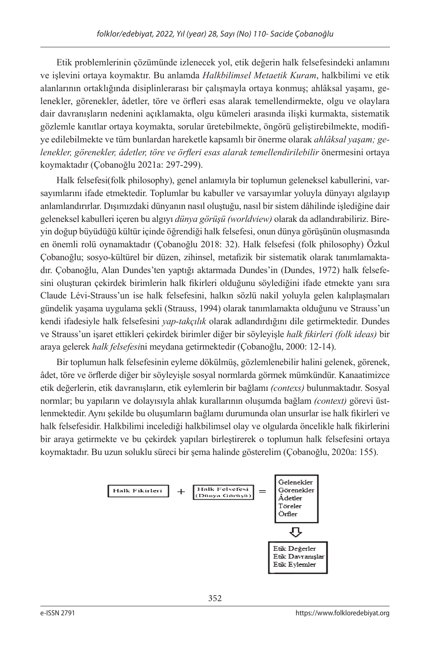Etik problemlerinin çözümünde izlenecek yol, etik değerin halk felsefesindeki anlamını ve işlevini ortaya koymaktır. Bu anlamda *Halkbilimsel Metaetik Kuram*, halkbilimi ve etik alanlarının ortaklığında disiplinlerarası bir çalışmayla ortaya konmuş; ahlâksal yaşamı, gelenekler, görenekler, âdetler, töre ve örfleri esas alarak temellendirmekte, olgu ve olaylara dair davranışların nedenini açıklamakta, olgu kümeleri arasında ilişki kurmakta, sistematik gözlemle kanıtlar ortaya koymakta, sorular üretebilmekte, öngörü geliştirebilmekte, modifiye edilebilmekte ve tüm bunlardan hareketle kapsamlı bir önerme olarak *ahlâksal yaşam; gelenekler, görenekler, âdetler, töre ve örfleri esas alarak temellendirilebilir* önermesini ortaya koymaktadır (Çobanoğlu 2021a: 297-299).

Halk felsefesi(folk philosophy), genel anlamıyla bir toplumun geleneksel kabullerini, varsayımlarını ifade etmektedir. Toplumlar bu kabuller ve varsayımlar yoluyla dünyayı algılayıp anlamlandırırlar. Dışımızdaki dünyanın nasıl oluştuğu, nasıl bir sistem dâhilinde işlediğine dair geleneksel kabulleri içeren bu algıyı *dünya görüşü (worldview)* olarak da adlandırabiliriz. Bireyin doğup büyüdüğü kültür içinde öğrendiği halk felsefesi, onun dünya görüşünün oluşmasında en önemli rolü oynamaktadır (Çobanoğlu 2018: 32). Halk felsefesi (folk philosophy) Özkul Çobanoğlu; sosyo-kültürel bir düzen, zihinsel, metafizik bir sistematik olarak tanımlamaktadır. Çobanoğlu, Alan Dundes'ten yaptığı aktarmada Dundes'in (Dundes, 1972) halk felsefesini oluşturan çekirdek birimlerin halk fikirleri olduğunu söylediğini ifade etmekte yanı sıra Claude Lévi-Strauss'un ise halk felsefesini, halkın sözlü nakil yoluyla gelen kalıplaşmaları gündelik yaşama uygulama şekli (Strauss, 1994) olarak tanımlamakta olduğunu ve Strauss'un kendi ifadesiyle halk felsefesini *yap-takçılık* olarak adlandırdığını dile getirmektedir. Dundes ve Strauss'un işaret ettikleri çekirdek birimler diğer bir söyleyişle *halk fikirleri (folk ideas)* bir araya gelerek *halk felsefesi*ni meydana getirmektedir (Çobanoğlu, 2000: 12-14).

Bir toplumun halk felsefesinin eyleme dökülmüş, gözlemlenebilir halini gelenek, görenek, âdet, töre ve örflerde diğer bir söyleyişle sosyal normlarda görmek mümkündür. Kanaatimizce etik değerlerin, etik davranışların, etik eylemlerin bir bağlamı *(contexs)* bulunmaktadır. Sosyal normlar; bu yapıların ve dolayısıyla ahlak kurallarının oluşumda bağlam *(context)* görevi üstlenmektedir. Aynı şekilde bu oluşumların bağlamı durumunda olan unsurlar ise halk fikirleri ve halk felsefesidir. Halkbilimi incelediği halkbilimsel olay ve olgularda öncelikle halk fikirlerini bir araya getirmekte ve bu çekirdek yapıları birleştirerek o toplumun halk felsefesini ortaya koymaktadır. Bu uzun soluklu süreci bir şema halinde gösterelim (Çobanoğlu, 2020a: 155).

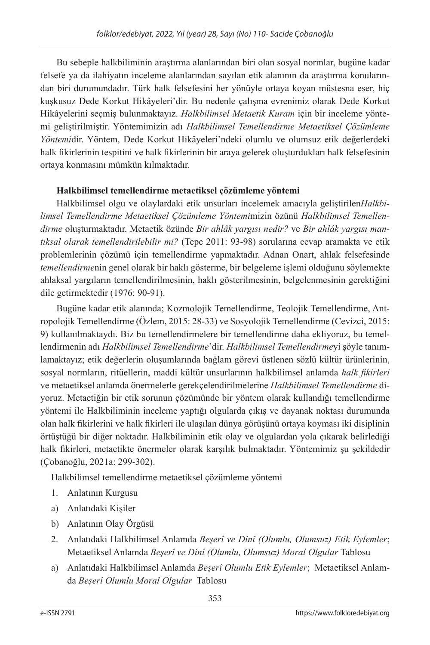Bu sebeple halkbiliminin araştırma alanlarından biri olan sosyal normlar, bugüne kadar felsefe ya da ilahiyatın inceleme alanlarından sayılan etik alanının da araştırma konularından biri durumundadır. Türk halk felsefesini her yönüyle ortaya koyan müstesna eser, hiç kuşkusuz Dede Korkut Hikâyeleri'dir. Bu nedenle çalışma evrenimiz olarak Dede Korkut Hikâyelerini seçmiş bulunmaktayız. *Halkbilimsel Metaetik Kuram* için bir inceleme yöntemi geliştirilmiştir. Yöntemimizin adı *Halkbilimsel Temellendirme Metaetiksel Çözümleme Yöntemi*dir. Yöntem, Dede Korkut Hikâyeleri'ndeki olumlu ve olumsuz etik değerlerdeki halk fikirlerinin tespitini ve halk fikirlerinin bir araya gelerek oluşturdukları halk felsefesinin ortaya konmasını mümkün kılmaktadır.

## **Halkbilimsel temellendirme metaetiksel çözümleme yöntemi**

Halkbilimsel olgu ve olaylardaki etik unsurları incelemek amacıyla geliştirilen*Halkbilimsel Temellendirme Metaetiksel Çözümleme Yöntemi*mizin özünü *Halkbilimsel Temellendirme* oluşturmaktadır. Metaetik özünde *Bir ahlâk yargısı nedir?* ve *Bir ahlâk yargısı mantıksal olarak temellendirilebilir mi?* (Tepe 2011: 93-98) sorularına cevap aramakta ve etik problemlerinin çözümü için temellendirme yapmaktadır. Adnan Onart, ahlak felsefesinde *temellendirme*nin genel olarak bir haklı gösterme, bir belgeleme işlemi olduğunu söylemekte ahlaksal yargıların temellendirilmesinin, haklı gösterilmesinin, belgelenmesinin gerektiğini dile getirmektedir (1976: 90-91).

Bugüne kadar etik alanında; Kozmolojik Temellendirme, Teolojik Temellendirme, Antropolojik Temellendirme (Özlem, 2015: 28-33) ve Sosyolojik Temellendirme (Cevizci, 2015: 9) kullanılmaktaydı. Biz bu temellendirmelere bir temellendirme daha ekliyoruz, bu temellendirmenin adı *Halkbilimsel Temellendirme*'dir. *Halkbilimsel Temellendirme*yi şöyle tanımlamaktayız; etik değerlerin oluşumlarında bağlam görevi üstlenen sözlü kültür ürünlerinin, sosyal normların, ritüellerin, maddi kültür unsurlarının halkbilimsel anlamda *halk fikirleri* ve metaetiksel anlamda önermelerle gerekçelendirilmelerine *Halkbilimsel Temellendirme* diyoruz. Metaetiğin bir etik sorunun çözümünde bir yöntem olarak kullandığı temellendirme yöntemi ile Halkbiliminin inceleme yaptığı olgularda çıkış ve dayanak noktası durumunda olan halk fikirlerini ve halk fikirleri ile ulaşılan dünya görüşünü ortaya koyması iki disiplinin örtüştüğü bir diğer noktadır. Halkbiliminin etik olay ve olgulardan yola çıkarak belirlediği halk fikirleri, metaetikte önermeler olarak karşılık bulmaktadır. Yöntemimiz şu şekildedir (Çobanoğlu, 2021a: 299-302).

Halkbilimsel temellendirme metaetiksel çözümleme yöntemi

- 1. Anlatının Kurgusu
- a) Anlatıdaki Kişiler
- b) Anlatının Olay Örgüsü
- 2. Anlatıdaki Halkbilimsel Anlamda *Beşerî ve Dinî (Olumlu, Olumsuz) Etik Eylemler*; Metaetiksel Anlamda *Beşerî ve Dinî (Olumlu, Olumsuz) Moral Olgular* Tablosu
- a) Anlatıdaki Halkbilimsel Anlamda *Beşerî Olumlu Etik Eylemler*; Metaetiksel Anlamda *Beşerî Olumlu Moral Olgular* Tablosu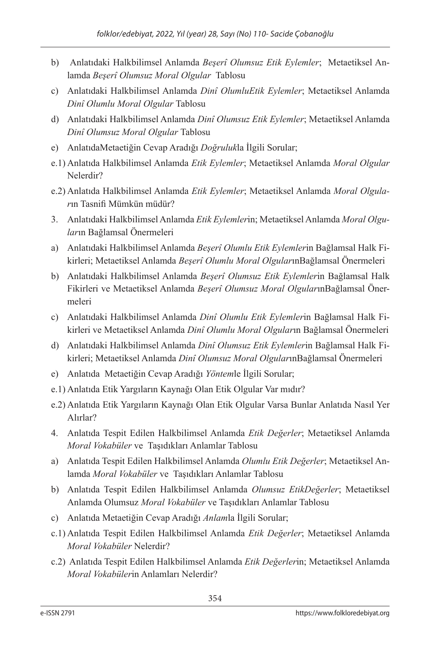- b) Anlatıdaki Halkbilimsel Anlamda *Beşerî Olumsuz Etik Eylemler*; Metaetiksel Anlamda *Beşerî Olumsuz Moral Olgular* Tablosu
- c) Anlatıdaki Halkbilimsel Anlamda *Dinî OlumluEtik Eylemler*; Metaetiksel Anlamda *Dinî Olumlu Moral Olgular* Tablosu
- d) Anlatıdaki Halkbilimsel Anlamda *Dinî Olumsuz Etik Eylemler*; Metaetiksel Anlamda *Dinî Olumsuz Moral Olgular* Tablosu
- e) AnlatıdaMetaetiğin Cevap Aradığı *Doğruluk*la İlgili Sorular;
- e.1) Anlatıda Halkbilimsel Anlamda *Etik Eylemler*; Metaetiksel Anlamda *Moral Olgular* Nelerdir?
- e.2) Anlatıda Halkbilimsel Anlamda *Etik Eylemler*; Metaetiksel Anlamda *Moral Olgular*ın Tasnifi Mümkün müdür?
- 3. Anlatıdaki Halkbilimsel Anlamda *Etik Eylemler*in; Metaetiksel Anlamda *Moral Olgular*ın Bağlamsal Önermeleri
- a) Anlatıdaki Halkbilimsel Anlamda *Beşerî Olumlu Etik Eylemler*in Bağlamsal Halk Fikirleri; Metaetiksel Anlamda *Beşerî Olumlu Moral Olgular*ınBağlamsal Önermeleri
- b) Anlatıdaki Halkbilimsel Anlamda *Beşerî Olumsuz Etik Eylemler*in Bağlamsal Halk Fikirleri ve Metaetiksel Anlamda *Beşerî Olumsuz Moral Olgular*ınBağlamsal Önermeleri
- c) Anlatıdaki Halkbilimsel Anlamda *Dinî Olumlu Etik Eylemler*in Bağlamsal Halk Fikirleri ve Metaetiksel Anlamda *Dinî Olumlu Moral Olgular*ın Bağlamsal Önermeleri
- d) Anlatıdaki Halkbilimsel Anlamda *Dinî Olumsuz Etik Eylemler*in Bağlamsal Halk Fikirleri; Metaetiksel Anlamda *Dinî Olumsuz Moral Olgular*ınBağlamsal Önermeleri
- e) Anlatıda Metaetiğin Cevap Aradığı *Yöntem*le İlgili Sorular;
- e.1) Anlatıda Etik Yargıların Kaynağı Olan Etik Olgular Var mıdır?
- e.2) Anlatıda Etik Yargıların Kaynağı Olan Etik Olgular Varsa Bunlar Anlatıda Nasıl Yer Alırlar?
- 4. Anlatıda Tespit Edilen Halkbilimsel Anlamda *Etik Değerler*; Metaetiksel Anlamda *Moral Vokabüler* ve Taşıdıkları Anlamlar Tablosu
- a) Anlatıda Tespit Edilen Halkbilimsel Anlamda *Olumlu Etik Değerler*; Metaetiksel Anlamda *Moral Vokabüler* ve Taşıdıkları Anlamlar Tablosu
- b) Anlatıda Tespit Edilen Halkbilimsel Anlamda *Olumsuz EtikDeğerler*; Metaetiksel Anlamda Olumsuz *Moral Vokabüler* ve Taşıdıkları Anlamlar Tablosu
- c) Anlatıda Metaetiğin Cevap Aradığı *Anlam*la İlgili Sorular;
- c.1) Anlatıda Tespit Edilen Halkbilimsel Anlamda *Etik Değerler*; Metaetiksel Anlamda *Moral Vokabüler* Nelerdir?
- c.2) Anlatıda Tespit Edilen Halkbilimsel Anlamda *Etik Değerler*in; Metaetiksel Anlamda *Moral Vokabüler*in Anlamları Nelerdir?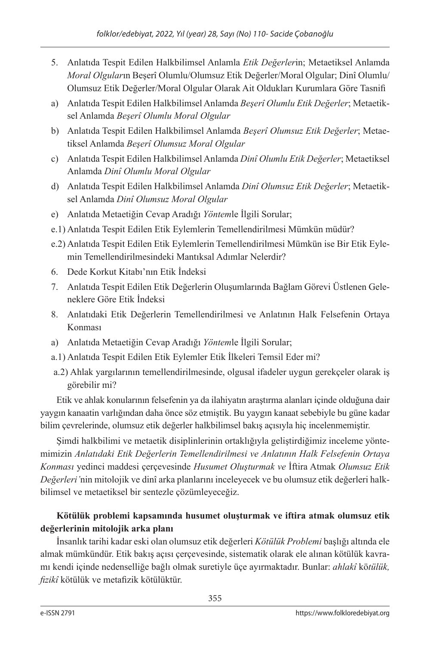- 5. Anlatıda Tespit Edilen Halkbilimsel Anlamla *Etik Değerler*in; Metaetiksel Anlamda *Moral Olgular*ın Beşerî Olumlu/Olumsuz Etik Değerler/Moral Olgular; Dinî Olumlu/ Olumsuz Etik Değerler/Moral Olgular Olarak Ait Oldukları Kurumlara Göre Tasnifi
- a) Anlatıda Tespit Edilen Halkbilimsel Anlamda *Beşerî Olumlu Etik Değerler*; Metaetiksel Anlamda *Beşerî Olumlu Moral Olgular*
- b) Anlatıda Tespit Edilen Halkbilimsel Anlamda *Beşerî Olumsuz Etik Değerler*; Metaetiksel Anlamda *Beşerî Olumsuz Moral Olgular*
- c) Anlatıda Tespit Edilen Halkbilimsel Anlamda *Dinî Olumlu Etik Değerler*; Metaetiksel Anlamda *Dinî Olumlu Moral Olgular*
- d) Anlatıda Tespit Edilen Halkbilimsel Anlamda *Dinî Olumsuz Etik Değerler*; Metaetiksel Anlamda *Dinî Olumsuz Moral Olgular*
- e) Anlatıda Metaetiğin Cevap Aradığı *Yöntem*le İlgili Sorular;
- e.1) Anlatıda Tespit Edilen Etik Eylemlerin Temellendirilmesi Mümkün müdür?
- e.2) Anlatıda Tespit Edilen Etik Eylemlerin Temellendirilmesi Mümkün ise Bir Etik Eylemin Temellendirilmesindeki Mantıksal Adımlar Nelerdir?
- 6. Dede Korkut Kitabı'nın Etik İndeksi
- 7. Anlatıda Tespit Edilen Etik Değerlerin Oluşumlarında Bağlam Görevi Üstlenen Geleneklere Göre Etik İndeksi
- 8. Anlatıdaki Etik Değerlerin Temellendirilmesi ve Anlatının Halk Felsefenin Ortaya Konması
- a) Anlatıda Metaetiğin Cevap Aradığı *Yöntem*le İlgili Sorular;
- a.1) Anlatıda Tespit Edilen Etik Eylemler Etik İlkeleri Temsil Eder mi?
- a.2) Ahlak yargılarının temellendirilmesinde, olgusal ifadeler uygun gerekçeler olarak iş görebilir mi?

Etik ve ahlak konularının felsefenin ya da ilahiyatın araştırma alanları içinde olduğuna dair yaygın kanaatin varlığından daha önce söz etmiştik. Bu yaygın kanaat sebebiyle bu güne kadar bilim çevrelerinde, olumsuz etik değerler halkbilimsel bakış açısıyla hiç incelenmemiştir.

Şimdi halkbilimi ve metaetik disiplinlerinin ortaklığıyla geliştirdiğimiz inceleme yöntemimizin *Anlatıdaki Etik Değerlerin Temellendirilmesi ve Anlatının Halk Felsefenin Ortaya Konması* yedinci maddesi çerçevesinde *Husumet Oluşturmak ve* İftira Atmak *Olumsuz Etik Değerleri'*nin mitolojik ve dinî arka planlarını inceleyecek ve bu olumsuz etik değerleri halkbilimsel ve metaetiksel bir sentezle çözümleyeceğiz.

# **Kötülük problemi kapsamında husumet oluşturmak ve iftira atmak olumsuz etik değerlerinin mitolojik arka planı**

İnsanlık tarihi kadar eski olan olumsuz etik değerleri *Kötülük Problemi* başlığı altında ele almak mümkündür. Etik bakış açısı çerçevesinde, sistematik olarak ele alınan kötülük kavramı kendi içinde nedenselliğe bağlı olmak suretiyle üçe ayırmaktadır. Bunlar: *ahlakî* kö*tülük, fizikî* kötülük ve metafizik kötülüktür.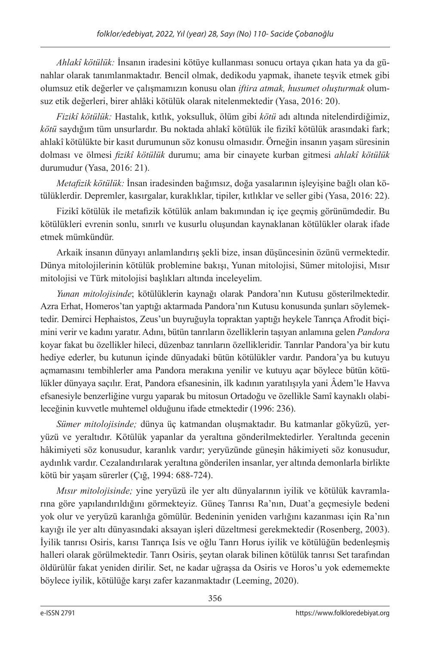*Ahlakî kötülük:* İnsanın iradesini kötüye kullanması sonucu ortaya çıkan hata ya da günahlar olarak tanımlanmaktadır. Bencil olmak, dedikodu yapmak, ihanete teşvik etmek gibi olumsuz etik değerler ve çalışmamızın konusu olan *iftira atmak, husumet oluşturmak* olumsuz etik değerleri, birer ahlâki kötülük olarak nitelenmektedir (Yasa, 2016: 20).

*Fizikî kötülük:* Hastalık, kıtlık, yoksulluk, ölüm gibi *kötü* adı altında nitelendirdiğimiz, *kötü* saydığım tüm unsurlardır. Bu noktada ahlakî kötülük ile fizikî kötülük arasındaki fark; ahlakî kötülükte bir kasıt durumunun söz konusu olmasıdır. Örneğin insanın yaşam süresinin dolması ve ölmesi *fizikî kötülük* durumu; ama bir cinayete kurban gitmesi *ahlakî kötülük* durumudur (Yasa, 2016: 21).

*Metafizik kötülük:* İnsan iradesinden bağımsız, doğa yasalarının işleyişine bağlı olan kötülüklerdir. Depremler, kasırgalar, kuraklıklar, tipiler, kıtlıklar ve seller gibi (Yasa, 2016: 22).

Fizikî kötülük ile metafizik kötülük anlam bakımından iç içe geçmiş görünümdedir. Bu kötülükleri evrenin sonlu, sınırlı ve kusurlu oluşundan kaynaklanan kötülükler olarak ifade etmek mümkündür.

Arkaik insanın dünyayı anlamlandırış şekli bize, insan düşüncesinin özünü vermektedir. Dünya mitolojilerinin kötülük problemine bakışı, Yunan mitolojisi, Sümer mitolojisi, Mısır mitolojisi ve Türk mitolojisi başlıkları altında inceleyelim.

*Yunan mitolojisinde*; kötülüklerin kaynağı olarak Pandora'nın Kutusu gösterilmektedir. Azra Erhat, Homeros'tan yaptığı aktarmada Pandora'nın Kutusu konusunda şunları söylemektedir. Demirci Hephaistos, Zeus'un buyruğuyla topraktan yaptığı heykele Tanrıça Afrodit biçimini verir ve kadını yaratır. Adını, bütün tanrıların özelliklerin taşıyan anlamına gelen *Pandora* koyar fakat bu özellikler hileci, düzenbaz tanrıların özellikleridir. Tanrılar Pandora'ya bir kutu hediye ederler, bu kutunun içinde dünyadaki bütün kötülükler vardır. Pandora'ya bu kutuyu açmamasını tembihlerler ama Pandora merakına yenilir ve kutuyu açar böylece bütün kötülükler dünyaya saçılır. Erat, Pandora efsanesinin, ilk kadının yaratılışıyla yani Âdem'le Havva efsanesiyle benzerliğine vurgu yaparak bu mitosun Ortadoğu ve özellikle Samî kaynaklı olabileceğinin kuvvetle muhtemel olduğunu ifade etmektedir (1996: 236).

*Sümer mitolojisinde;* dünya üç katmandan oluşmaktadır. Bu katmanlar gökyüzü, yeryüzü ve yeraltıdır. Kötülük yapanlar da yeraltına gönderilmektedirler. Yeraltında gecenin hâkimiyeti söz konusudur, karanlık vardır; yeryüzünde güneşin hâkimiyeti söz konusudur, aydınlık vardır. Cezalandırılarak yeraltına gönderilen insanlar, yer altında demonlarla birlikte kötü bir yaşam sürerler (Çığ, 1994: 688-724).

*Mısır mitolojisinde;* yine yeryüzü ile yer altı dünyalarının iyilik ve kötülük kavramlarına göre yapılandırıldığını görmekteyiz. Güneş Tanrısı Ra'nın, Duat'a geçmesiyle bedeni yok olur ve yeryüzü karanlığa gömülür. Bedeninin yeniden varlığını kazanması için Ra'nın kayığı ile yer altı dünyasındaki aksayan işleri düzeltmesi gerekmektedir (Rosenberg, 2003). İyilik tanrısı Osiris, karısı Tanrıça Isis ve oğlu Tanrı Horus iyilik ve kötülüğün bedenleşmiş halleri olarak görülmektedir. Tanrı Osiris, şeytan olarak bilinen kötülük tanrısı Set tarafından öldürülür fakat yeniden dirilir. Set, ne kadar uğraşsa da Osiris ve Horos'u yok edememekte böylece iyilik, kötülüğe karşı zafer kazanmaktadır (Leeming, 2020).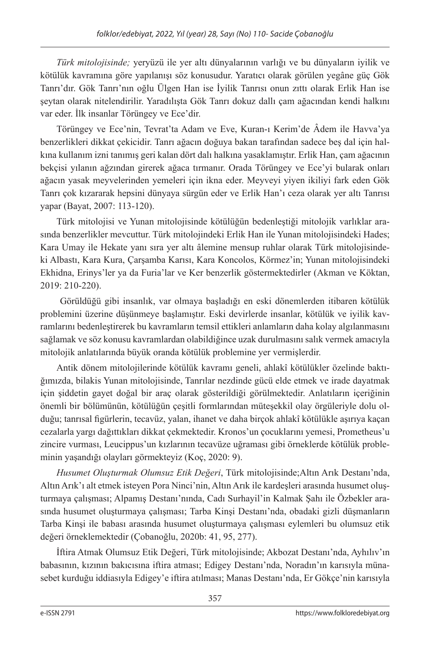*Türk mitolojisinde;* yeryüzü ile yer altı dünyalarının varlığı ve bu dünyaların iyilik ve kötülük kavramına göre yapılanışı söz konusudur. Yaratıcı olarak görülen yegâne güç Gök Tanrı'dır. Gök Tanrı'nın oğlu Ülgen Han ise İyilik Tanrısı onun zıttı olarak Erlik Han ise şeytan olarak nitelendirilir. Yaradılışta Gök Tanrı dokuz dallı çam ağacından kendi halkını var eder. İlk insanlar Törüngey ve Ece'dir.

Törüngey ve Ece'nin, Tevrat'ta Adam ve Eve, Kuran-ı Kerim'de Âdem ile Havva'ya benzerlikleri dikkat çekicidir. Tanrı ağacın doğuya bakan tarafından sadece beş dal için halkına kullanım izni tanımış geri kalan dört dalı halkına yasaklamıştır. Erlik Han, çam ağacının bekçisi yılanın ağzından girerek ağaca tırmanır. Orada Törüngey ve Ece'yi bularak onları ağacın yasak meyvelerinden yemeleri için ikna eder. Meyveyi yiyen ikiliyi fark eden Gök Tanrı çok kızararak hepsini dünyaya sürgün eder ve Erlik Han'ı ceza olarak yer altı Tanrısı yapar (Bayat, 2007: 113-120).

Türk mitolojisi ve Yunan mitolojisinde kötülüğün bedenleştiği mitolojik varlıklar arasında benzerlikler mevcuttur. Türk mitolojindeki Erlik Han ile Yunan mitolojisindeki Hades; Kara Umay ile Hekate yanı sıra yer altı âlemine mensup ruhlar olarak Türk mitolojisindeki Albastı, Kara Kura, Çarşamba Karısı, Kara Koncolos, Körmez'in; Yunan mitolojisindeki Ekhidna, Erinys'ler ya da Furia'lar ve Ker benzerlik göstermektedirler (Akman ve Köktan, 2019: 210-220).

 Görüldüğü gibi insanlık, var olmaya başladığı en eski dönemlerden itibaren kötülük problemini üzerine düşünmeye başlamıştır. Eski devirlerde insanlar, kötülük ve iyilik kavramlarını bedenleştirerek bu kavramların temsil ettikleri anlamların daha kolay algılanmasını sağlamak ve söz konusu kavramlardan olabildiğince uzak durulmasını salık vermek amacıyla mitolojik anlatılarında büyük oranda kötülük problemine yer vermişlerdir.

Antik dönem mitolojilerinde kötülük kavramı geneli, ahlakî kötülükler özelinde baktığımızda, bilakis Yunan mitolojisinde, Tanrılar nezdinde gücü elde etmek ve irade dayatmak için şiddetin gayet doğal bir araç olarak gösterildiği görülmektedir. Anlatıların içeriğinin önemli bir bölümünün, kötülüğün çeşitli formlarından müteşekkil olay örgüleriyle dolu olduğu; tanrısal figürlerin, tecavüz, yalan, ihanet ve daha birçok ahlakî kötülükle aşırıya kaçan cezalarla yargı dağıttıkları dikkat çekmektedir. Kronos'un çocuklarını yemesi, Prometheus'u zincire vurması, Leucippus'un kızlarının tecavüze uğraması gibi örneklerde kötülük probleminin yaşandığı olayları görmekteyiz (Koç, 2020: 9).

*Husumet Oluşturmak Olumsuz Etik Değeri*, Türk mitolojisinde;Altın Arık Destanı'nda, Altın Arık'ı alt etmek isteyen Pora Ninci'nin, Altın Arık ile kardeşleri arasında husumet oluşturmaya çalışması; Alpamış Destanı'nında, Cadı Surhayil'in Kalmak Şahı ile Özbekler arasında husumet oluşturmaya çalışması; Tarba Kinşi Destanı'nda, obadaki gizli düşmanların Tarba Kinşi ile babası arasında husumet oluşturmaya çalışması eylemleri bu olumsuz etik değeri örneklemektedir (Çobanoğlu, 2020b: 41, 95, 277).

İftira Atmak Olumsuz Etik Değeri, Türk mitolojisinde; Akbozat Destanı'nda, Ayhılıv'ın babasının, kızının bakıcısına iftira atması; Edigey Destanı'nda, Noradın'ın karısıyla münasebet kurduğu iddiasıyla Edigey'e iftira atılması; Manas Destanı'nda, Er Gökçe'nin karısıyla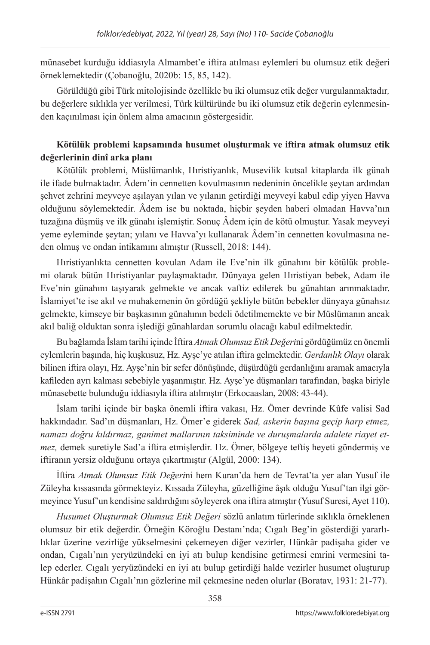münasebet kurduğu iddiasıyla Almambet'e iftira atılması eylemleri bu olumsuz etik değeri örneklemektedir (Çobanoğlu, 2020b: 15, 85, 142).

Görüldüğü gibi Türk mitolojisinde özellikle bu iki olumsuz etik değer vurgulanmaktadır*,*  bu değerlere sıklıkla yer verilmesi, Türk kültüründe bu iki olumsuz etik değerin eylenmesinden kaçınılması için önlem alma amacının göstergesidir.

# **Kötülük problemi kapsamında husumet oluşturmak ve iftira atmak olumsuz etik değerlerinin dinî arka planı**

Kötülük problemi, Müslümanlık, Hıristiyanlık, Musevilik kutsal kitaplarda ilk günah ile ifade bulmaktadır. Âdem'in cennetten kovulmasının nedeninin öncelikle şeytan ardından şehvet zehrini meyveye aşılayan yılan ve yılanın getirdiği meyveyi kabul edip yiyen Havva olduğunu söylemektedir. Âdem ise bu noktada, hiçbir şeyden haberi olmadan Havva'nın tuzağına düşmüş ve ilk günahı işlemiştir. Sonuç Âdem için de kötü olmuştur. Yasak meyveyi yeme eyleminde şeytan; yılanı ve Havva'yı kullanarak Âdem'in cennetten kovulmasına neden olmuş ve ondan intikamını almıştır (Russell, 2018: 144).

Hıristiyanlıkta cennetten kovulan Adam ile Eve'nin ilk günahını bir kötülük problemi olarak bütün Hıristiyanlar paylaşmaktadır. Dünyaya gelen Hıristiyan bebek, Adam ile Eve'nin günahını taşıyarak gelmekte ve ancak vaftiz edilerek bu günahtan arınmaktadır. İslamiyet'te ise akıl ve muhakemenin ön gördüğü şekliyle bütün bebekler dünyaya günahsız gelmekte, kimseye bir başkasının günahının bedeli ödetilmemekte ve bir Müslümanın ancak akıl baliğ olduktan sonra işlediği günahlardan sorumlu olacağı kabul edilmektedir.

Bu bağlamda İslam tarihi içinde İftira *Atmak Olumsuz Etik Değeri*ni gördüğümüz en önemli eylemlerin başında, hiç kuşkusuz, Hz. Ayşe'ye atılan iftira gelmektedir. *Gerdanlık Olayı* olarak bilinen iftira olayı, Hz. Ayşe'nin bir sefer dönüşünde, düşürdüğü gerdanlığını aramak amacıyla kafileden ayrı kalması sebebiyle yaşanmıştır. Hz. Ayşe'ye düşmanları tarafından, başka biriyle münasebette bulunduğu iddiasıyla iftira atılmıştır (Erkocaaslan, 2008: 43-44).

İslam tarihi içinde bir başka önemli iftira vakası, Hz. Ömer devrinde Kûfe valisi Sad hakkındadır. Sad'ın düşmanları, Hz. Ömer'e giderek *Sad, askerin başına geçip harp etmez, namazı doğru kıldırmaz, ganimet mallarının taksiminde ve duruşmalarda adalete riayet etmez,* demek suretiyle Sad'a iftira etmişlerdir. Hz. Ömer, bölgeye teftiş heyeti göndermiş ve iftiranın yersiz olduğunu ortaya çıkartmıştır (Algül, 2000: 134).

İftira *Atmak Olumsuz Etik Değeri*ni hem Kuran'da hem de Tevrat'ta yer alan Yusuf ile Züleyha kıssasında görmekteyiz. Kıssada Züleyha, güzelliğine âşık olduğu Yusuf'tan ilgi görmeyince Yusuf'un kendisine saldırdığını söyleyerek ona iftira atmıştır (Yusuf Suresi, Ayet 110).

*Husumet Oluşturmak Olumsuz Etik Değeri* sözlü anlatım türlerinde sıklıkla örneklenen olumsuz bir etik değerdir. Örneğin Köroğlu Destanı'nda; Cıgalı Beg'in gösterdiği yararlılıklar üzerine vezirliğe yükselmesini çekemeyen diğer vezirler, Hünkâr padişaha gider ve ondan, Cıgalı'nın yeryüzündeki en iyi atı bulup kendisine getirmesi emrini vermesini talep ederler. Cıgalı yeryüzündeki en iyi atı bulup getirdiği halde vezirler husumet oluşturup Hünkâr padişahın Cıgalı'nın gözlerine mil çekmesine neden olurlar (Boratav, 1931: 21-77).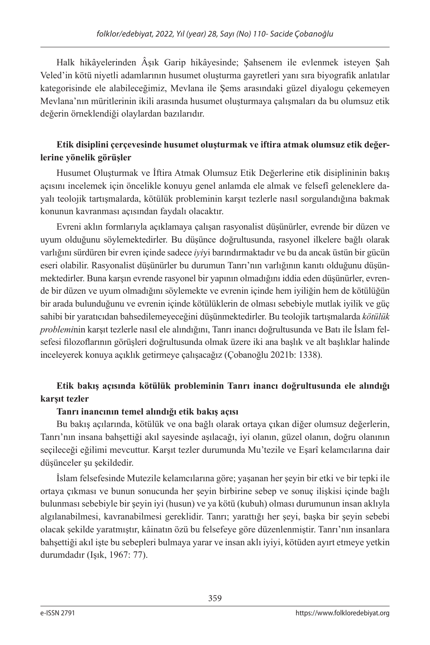Halk hikâyelerinden Âşık Garip hikâyesinde; Şahsenem ile evlenmek isteyen Şah Veled'in kötü niyetli adamlarının husumet oluşturma gayretleri yanı sıra biyografik anlatılar kategorisinde ele alabileceğimiz, Mevlana ile Şems arasındaki güzel diyalogu çekemeyen Mevlana'nın müritlerinin ikili arasında husumet oluşturmaya çalışmaları da bu olumsuz etik değerin örneklendiği olaylardan bazılarıdır.

## **Etik disiplini çerçevesinde husumet oluşturmak ve iftira atmak olumsuz etik değerlerine yönelik görüşler**

Husumet Oluşturmak ve İftira Atmak Olumsuz Etik Değerlerine etik disiplininin bakış açısını incelemek için öncelikle konuyu genel anlamda ele almak ve felsefî geleneklere dayalı teolojik tartışmalarda, kötülük probleminin karşıt tezlerle nasıl sorgulandığına bakmak konunun kavranması açısından faydalı olacaktır.

Evreni aklın formlarıyla açıklamaya çalışan rasyonalist düşünürler, evrende bir düzen ve uyum olduğunu söylemektedirler. Bu düşünce doğrultusunda, rasyonel ilkelere bağlı olarak varlığını sürdüren bir evren içinde sadece *iyi*yi barındırmaktadır ve bu da ancak üstün bir gücün eseri olabilir. Rasyonalist düşünürler bu durumun Tanrı'nın varlığının kanıtı olduğunu düşünmektedirler. Buna karşın evrende rasyonel bir yapının olmadığını iddia eden düşünürler, evrende bir düzen ve uyum olmadığını söylemekte ve evrenin içinde hem iyiliğin hem de kötülüğün bir arada bulunduğunu ve evrenin içinde kötülüklerin de olması sebebiyle mutlak iyilik ve güç sahibi bir yaratıcıdan bahsedilemeyeceğini düşünmektedirler. Bu teolojik tartışmalarda *kötülük problemi*nin karşıt tezlerle nasıl ele alındığını, Tanrı inancı doğrultusunda ve Batı ile İslam felsefesi filozoflarının görüşleri doğrultusunda olmak üzere iki ana başlık ve alt başlıklar halinde inceleyerek konuya açıklık getirmeye çalışacağız (Çobanoğlu 2021b: 1338).

# **Etik bakış açısında kötülük probleminin Tanrı inancı doğrultusunda ele alındığı karşıt tezler**

## **Tanrı inancının temel alındığı etik bakış açısı**

Bu bakış açılarında, kötülük ve ona bağlı olarak ortaya çıkan diğer olumsuz değerlerin, Tanrı'nın insana bahşettiği akıl sayesinde aşılacağı, iyi olanın, güzel olanın, doğru olanının seçileceği eğilimi mevcuttur. Karşıt tezler durumunda Mu'tezile ve Eşarî kelamcılarına dair düşünceler şu şekildedir.

İslam felsefesinde Mutezile kelamcılarına göre; yaşanan her şeyin bir etki ve bir tepki ile ortaya çıkması ve bunun sonucunda her şeyin birbirine sebep ve sonuç ilişkisi içinde bağlı bulunması sebebiyle bir şeyin iyi (husun) ve ya kötü (kubuh) olması durumunun insan aklıyla algılanabilmesi, kavranabilmesi gereklidir. Tanrı; yarattığı her şeyi, başka bir şeyin sebebi olacak şekilde yaratmıştır, kâinatın özü bu felsefeye göre düzenlenmiştir. Tanrı'nın insanlara bahşettiği akıl işte bu sebepleri bulmaya yarar ve insan aklı iyiyi, kötüden ayırt etmeye yetkin durumdadır (Işık, 1967: 77).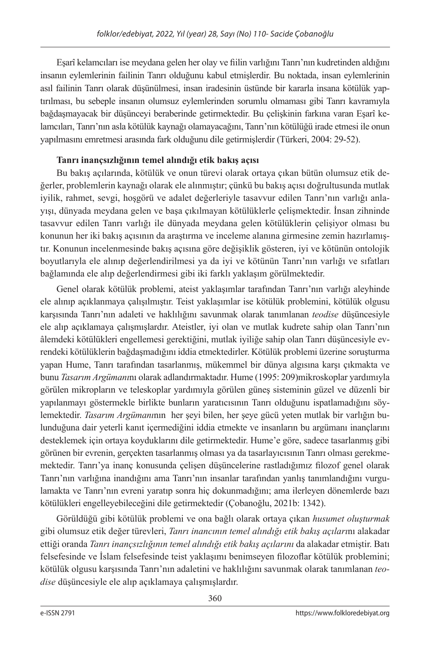Eşarî kelamcıları ise meydana gelen her olay ve fiilin varlığını Tanrı'nın kudretinden aldığını insanın eylemlerinin failinin Tanrı olduğunu kabul etmişlerdir. Bu noktada, insan eylemlerinin asıl failinin Tanrı olarak düşünülmesi, insan iradesinin üstünde bir kararla insana kötülük yaptırılması, bu sebeple insanın olumsuz eylemlerinden sorumlu olmaması gibi Tanrı kavramıyla bağdaşmayacak bir düşünceyi beraberinde getirmektedir. Bu çelişkinin farkına varan Eşarî kelamcıları, Tanrı'nın asla kötülük kaynağı olamayacağını, Tanrı'nın kötülüğü irade etmesi ile onun yapılmasını emretmesi arasında fark olduğunu dile getirmişlerdir (Türkeri, 2004: 29-52).

## **Tanrı inançsızlığının temel alındığı etik bakış açısı**

Bu bakış açılarında, kötülük ve onun türevi olarak ortaya çıkan bütün olumsuz etik değerler, problemlerin kaynağı olarak ele alınmıştır; çünkü bu bakış açısı doğrultusunda mutlak iyilik, rahmet, sevgi, hoşgörü ve adalet değerleriyle tasavvur edilen Tanrı'nın varlığı anlayışı, dünyada meydana gelen ve başa çıkılmayan kötülüklerle çelişmektedir. İnsan zihninde tasavvur edilen Tanrı varlığı ile dünyada meydana gelen kötülüklerin çelişiyor olması bu konunun her iki bakış açısının da araştırma ve inceleme alanına girmesine zemin hazırlamıştır. Konunun incelenmesinde bakış açısına göre değişiklik gösteren, iyi ve kötünün ontolojik boyutlarıyla ele alınıp değerlendirilmesi ya da iyi ve kötünün Tanrı'nın varlığı ve sıfatları bağlamında ele alıp değerlendirmesi gibi iki farklı yaklaşım görülmektedir.

Genel olarak kötülük problemi, ateist yaklaşımlar tarafından Tanrı'nın varlığı aleyhinde ele alınıp açıklanmaya çalışılmıştır. Teist yaklaşımlar ise kötülük problemini, kötülük olgusu karşısında Tanrı'nın adaleti ve haklılığını savunmak olarak tanımlanan *teodise* düşüncesiyle ele alıp açıklamaya çalışmışlardır. Ateistler, iyi olan ve mutlak kudrete sahip olan Tanrı'nın âlemdeki kötülükleri engellemesi gerektiğini, mutlak iyiliğe sahip olan Tanrı düşüncesiyle evrendeki kötülüklerin bağdaşmadığını iddia etmektedirler. Kötülük problemi üzerine soruşturma yapan Hume, Tanrı tarafından tasarlanmış, mükemmel bir dünya algısına karşı çıkmakta ve bunu *Tasarım Argümanı*nı olarak adlandırmaktadır. Hume (1995: 209)mikroskoplar yardımıyla görülen mikropların ve teleskoplar yardımıyla görülen güneş sisteminin güzel ve düzenli bir yapılanmayı göstermekle birlikte bunların yaratıcısının Tanrı olduğunu ispatlamadığını söylemektedir. *Tasarım Argümanı*nın her şeyi bilen, her şeye gücü yeten mutlak bir varlığın bulunduğuna dair yeterli kanıt içermediğini iddia etmekte ve insanların bu argümanı inançlarını desteklemek için ortaya koyduklarını dile getirmektedir. Hume'e göre, sadece tasarlanmış gibi görünen bir evrenin, gerçekten tasarlanmış olması ya da tasarlayıcısının Tanrı olması gerekmemektedir. Tanrı'ya inanç konusunda çelişen düşüncelerine rastladığımız filozof genel olarak Tanrı'nın varlığına inandığını ama Tanrı'nın insanlar tarafından yanlış tanımlandığını vurgulamakta ve Tanrı'nın evreni yaratıp sonra hiç dokunmadığını; ama ilerleyen dönemlerde bazı kötülükleri engelleyebileceğini dile getirmektedir (Çobanoğlu, 2021b: 1342).

Görüldüğü gibi kötülük problemi ve ona bağlı olarak ortaya çıkan *husumet oluşturmak*  gibi olumsuz etik değer türevleri, *Tanrı inancının temel alındığı etik bakış açıları*nı alakadar ettiği oranda *Tanrı inançsızlığının temel alındığı etik bakış açılarını* da alakadar etmiştir. Batı felsefesinde ve İslam felsefesinde teist yaklaşımı benimseyen filozoflar kötülük problemini; kötülük olgusu karşısında Tanrı'nın adaletini ve haklılığını savunmak olarak tanımlanan *teodise* düşüncesiyle ele alıp açıklamaya çalışmışlardır.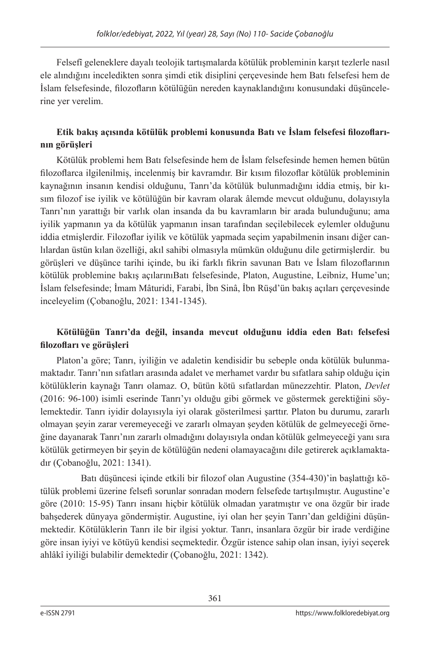Felsefî geleneklere dayalı teolojik tartışmalarda kötülük probleminin karşıt tezlerle nasıl ele alındığını inceledikten sonra şimdi etik disiplini çerçevesinde hem Batı felsefesi hem de İslam felsefesinde, filozofların kötülüğün nereden kaynaklandığını konusundaki düşüncelerine yer verelim.

# **Etik bakış açısında kötülük problemi konusunda Batı ve İslam felsefesi filozoflarının görüşleri**

Kötülük problemi hem Batı felsefesinde hem de İslam felsefesinde hemen hemen bütün filozoflarca ilgilenilmiş, incelenmiş bir kavramdır. Bir kısım filozoflar kötülük probleminin kaynağının insanın kendisi olduğunu, Tanrı'da kötülük bulunmadığını iddia etmiş, bir kısım filozof ise iyilik ve kötülüğün bir kavram olarak âlemde mevcut olduğunu, dolayısıyla Tanrı'nın yarattığı bir varlık olan insanda da bu kavramların bir arada bulunduğunu; ama iyilik yapmanın ya da kötülük yapmanın insan tarafından seçilebilecek eylemler olduğunu iddia etmişlerdir. Filozoflar iyilik ve kötülük yapmada seçim yapabilmenin insanı diğer canlılardan üstün kılan özelliği, akıl sahibi olmasıyla mümkün olduğunu dile getirmişlerdir. bu görüşleri ve düşünce tarihi içinde, bu iki farklı fikrin savunan Batı ve İslam filozoflarının kötülük problemine bakış açılarınıBatı felsefesinde, Platon, Augustine, Leibniz, Hume'un; İslam felsefesinde; İmam Mâturidi, Farabi, İbn Sinâ, İbn Rüşd'ün bakış açıları çerçevesinde inceleyelim (Çobanoğlu, 2021: 1341-1345).

## **Kötülüğün Tanrı'da değil, insanda mevcut olduğunu iddia eden Bat**ı **felsefesi filozofları ve görüşleri**

Platon'a göre; Tanrı, iyiliğin ve adaletin kendisidir bu sebeple onda kötülük bulunmamaktadır. Tanrı'nın sıfatları arasında adalet ve merhamet vardır bu sıfatlara sahip olduğu için kötülüklerin kaynağı Tanrı olamaz. O, bütün kötü sıfatlardan münezzehtir. Platon, *Devlet*  (2016: 96-100) isimli eserinde Tanrı'yı olduğu gibi görmek ve göstermek gerektiğini söylemektedir. Tanrı iyidir dolayısıyla iyi olarak gösterilmesi şarttır. Platon bu durumu, zararlı olmayan şeyin zarar veremeyeceği ve zararlı olmayan şeyden kötülük de gelmeyeceği örneğine dayanarak Tanrı'nın zararlı olmadığını dolayısıyla ondan kötülük gelmeyeceği yanı sıra kötülük getirmeyen bir şeyin de kötülüğün nedeni olamayacağını dile getirerek açıklamaktadır (Çobanoğlu, 2021: 1341).

 Batı düşüncesi içinde etkili bir filozof olan Augustine (354-430)'in başlattığı kötülük problemi üzerine felsefi sorunlar sonradan modern felsefede tartışılmıştır. Augustine'e göre (2010: 15-95) Tanrı insanı hiçbir kötülük olmadan yaratmıştır ve ona özgür bir irade bahşederek dünyaya göndermiştir. Augustine, iyi olan her şeyin Tanrı'dan geldiğini düşünmektedir. Kötülüklerin Tanrı ile bir ilgisi yoktur. Tanrı, insanlara özgür bir irade verdiğine göre insan iyiyi ve kötüyü kendisi seçmektedir. Özgür istence sahip olan insan, iyiyi seçerek ahlâkî iyiliği bulabilir demektedir (Çobanoğlu, 2021: 1342).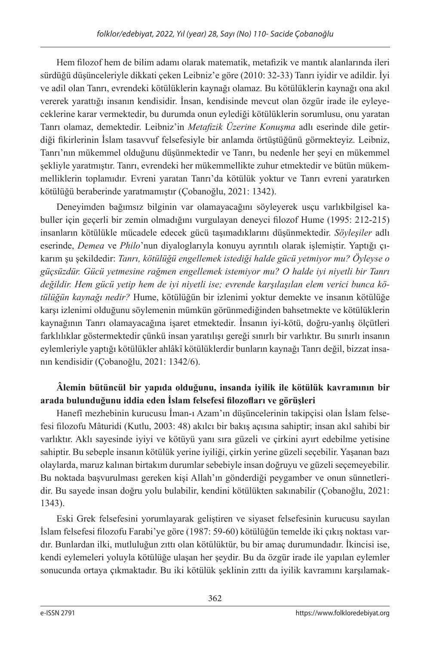Hem filozof hem de bilim adamı olarak matematik, metafizik ve mantık alanlarında ileri sürdüğü düşünceleriyle dikkati çeken Leibniz'e göre (2010: 32-33) Tanrı iyidir ve adildir. İyi ve adil olan Tanrı, evrendeki kötülüklerin kaynağı olamaz. Bu kötülüklerin kaynağı ona akıl vererek yarattığı insanın kendisidir. İnsan, kendisinde mevcut olan özgür irade ile eyleyeceklerine karar vermektedir, bu durumda onun eylediği kötülüklerin sorumlusu, onu yaratan Tanrı olamaz, demektedir. Leibniz'in *Metafizik Üzerine Konuşma* adlı eserinde dile getirdiği fikirlerinin İslam tasavvuf felsefesiyle bir anlamda örtüştüğünü görmekteyiz. Leibniz, Tanrı'nın mükemmel olduğunu düşünmektedir ve Tanrı, bu nedenle her şeyi en mükemmel şekliyle yaratmıştır. Tanrı, evrendeki her mükemmellikte zuhur etmektedir ve bütün mükemmelliklerin toplamıdır. Evreni yaratan Tanrı'da kötülük yoktur ve Tanrı evreni yaratırken kötülüğü beraberinde yaratmamıştır (Çobanoğlu, 2021: 1342).

Deneyimden bağımsız bilginin var olamayacağını söyleyerek usçu varlıkbilgisel kabuller için geçerli bir zemin olmadığını vurgulayan deneyci filozof Hume (1995: 212-215) insanların kötülükle mücadele edecek gücü taşımadıklarını düşünmektedir. *Söyleşiler* adlı eserinde, *Demea* ve *Philo*'nun diyaloglarıyla konuyu ayrıntılı olarak işlemiştir. Yaptığı çıkarım şu şekildedir: *Tanrı, kötülüğü engellemek istediği halde gücü yetmiyor mu? Öyleyse o güçsüzdür. Gücü yetmesine rağmen engellemek istemiyor mu? O halde iyi niyetli bir Tanrı değildir. Hem gücü yetip hem de iyi niyetli ise; evrende karşılaşılan elem verici bunca kötülüğün kaynağı nedir?* Hume, kötülüğün bir izlenimi yoktur demekte ve insanın kötülüğe karşı izlenimi olduğunu söylemenin mümkün görünmediğinden bahsetmekte ve kötülüklerin kaynağının Tanrı olamayacağına işaret etmektedir. İnsanın iyi-kötü, doğru-yanlış ölçütleri farklılıklar göstermektedir çünkü insan yaratılışı gereği sınırlı bir varlıktır. Bu sınırlı insanın eylemleriyle yaptığı kötülükler ahlâkî kötülüklerdir bunların kaynağı Tanrı değil, bizzat insanın kendisidir (Çobanoğlu, 2021: 1342/6).

# **Âlemin bütüncül bir yapıda olduğunu, insanda iyilik ile kötülük kavramının bir arada bulunduğunu iddia eden İslam felsefesi filozofları ve görüşleri**

Hanefî mezhebinin kurucusu İman-ı Azam'ın düşüncelerinin takipçisi olan İslam felsefesi filozofu Mâturidi (Kutlu, 2003: 48) akılcı bir bakış açısına sahiptir; insan akıl sahibi bir varlıktır. Aklı sayesinde iyiyi ve kötüyü yanı sıra güzeli ve çirkini ayırt edebilme yetisine sahiptir. Bu sebeple insanın kötülük yerine iyiliği, çirkin yerine güzeli seçebilir. Yaşanan bazı olaylarda, maruz kalınan birtakım durumlar sebebiyle insan doğruyu ve güzeli seçemeyebilir. Bu noktada başvurulması gereken kişi Allah'ın gönderdiği peygamber ve onun sünnetleridir. Bu sayede insan doğru yolu bulabilir, kendini kötülükten sakınabilir (Çobanoğlu, 2021: 1343).

Eski Grek felsefesini yorumlayarak geliştiren ve siyaset felsefesinin kurucusu sayılan İslam felsefesi filozofu Farabi'ye göre (1987: 59-60) kötülüğün temelde iki çıkış noktası vardır. Bunlardan ilki, mutluluğun zıttı olan kötülüktür, bu bir amaç durumundadır. İkincisi ise, kendi eylemeleri yoluyla kötülüğe ulaşan her şeydir. Bu da özgür irade ile yapılan eylemler sonucunda ortaya çıkmaktadır. Bu iki kötülük şeklinin zıttı da iyilik kavramını karşılamak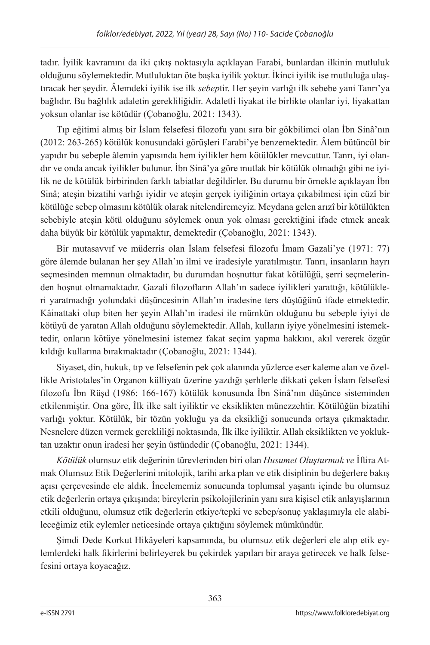tadır. İyilik kavramını da iki çıkış noktasıyla açıklayan Farabi, bunlardan ilkinin mutluluk olduğunu söylemektedir. Mutluluktan öte başka iyilik yoktur. İkinci iyilik ise mutluluğa ulaştıracak her şeydir. Âlemdeki iyilik ise ilk *sebep*tir. Her şeyin varlığı ilk sebebe yani Tanrı'ya bağlıdır. Bu bağlılık adaletin gerekliliğidir. Adaletli liyakat ile birlikte olanlar iyi, liyakattan yoksun olanlar ise kötüdür (Çobanoğlu, 2021: 1343).

Tıp eğitimi almış bir İslam felsefesi filozofu yanı sıra bir gökbilimci olan İbn Sinâ'nın (2012: 263-265) kötülük konusundaki görüşleri Farabi'ye benzemektedir. Âlem bütüncül bir yapıdır bu sebeple âlemin yapısında hem iyilikler hem kötülükler mevcuttur. Tanrı, iyi olandır ve onda ancak iyilikler bulunur. İbn Sinâ'ya göre mutlak bir kötülük olmadığı gibi ne iyilik ne de kötülük birbirinden farklı tabiatlar değildirler. Bu durumu bir örnekle açıklayan İbn Sinâ; ateşin bizatihi varlığı iyidir ve ateşin gerçek iyiliğinin ortaya çıkabilmesi için cüzî bir kötülüğe sebep olmasını kötülük olarak nitelendiremeyiz. Meydana gelen arızî bir kötülükten sebebiyle ateşin kötü olduğunu söylemek onun yok olması gerektiğini ifade etmek ancak daha büyük bir kötülük yapmaktır, demektedir (Çobanoğlu, 2021: 1343).

Bir mutasavvıf ve müderris olan İslam felsefesi filozofu İmam Gazali'ye (1971: 77) göre âlemde bulanan her şey Allah'ın ilmi ve iradesiyle yaratılmıştır. Tanrı, insanların hayrı seçmesinden memnun olmaktadır, bu durumdan hoşnuttur fakat kötülüğü, şerri seçmelerinden hoşnut olmamaktadır. Gazali filozofların Allah'ın sadece iyilikleri yarattığı, kötülükleri yaratmadığı yolundaki düşüncesinin Allah'ın iradesine ters düştüğünü ifade etmektedir. Kâinattaki olup biten her şeyin Allah'ın iradesi ile mümkün olduğunu bu sebeple iyiyi de kötüyü de yaratan Allah olduğunu söylemektedir. Allah, kulların iyiye yönelmesini istemektedir, onların kötüye yönelmesini istemez fakat seçim yapma hakkını, akıl vererek özgür kıldığı kullarına bırakmaktadır (Çobanoğlu, 2021: 1344).

Siyaset, din, hukuk, tıp ve felsefenin pek çok alanında yüzlerce eser kaleme alan ve özellikle Aristotales'in Organon külliyatı üzerine yazdığı şerhlerle dikkati çeken İslam felsefesi filozofu İbn Rüşd (1986: 166-167) kötülük konusunda İbn Sinâ'nın düşünce sisteminden etkilenmiştir. Ona göre, İlk ilke salt iyiliktir ve eksiklikten münezzehtir. Kötülüğün bizatihi varlığı yoktur. Kötülük, bir tözün yokluğu ya da eksikliği sonucunda ortaya çıkmaktadır. Nesnelere düzen vermek gerekliliği noktasında, İlk ilke iyiliktir. Allah eksiklikten ve yokluktan uzaktır onun iradesi her şeyin üstündedir (Çobanoğlu, 2021: 1344).

*Kötülük* olumsuz etik değerinin türevlerinden biri olan *Husumet Oluşturmak ve* İftira Atmak Olumsuz Etik Değerlerini mitolojik, tarihi arka plan ve etik disiplinin bu değerlere bakış açısı çerçevesinde ele aldık. İncelememiz sonucunda toplumsal yaşantı içinde bu olumsuz etik değerlerin ortaya çıkışında; bireylerin psikolojilerinin yanı sıra kişisel etik anlayışlarının etkili olduğunu, olumsuz etik değerlerin etkiye/tepki ve sebep/sonuç yaklaşımıyla ele alabileceğimiz etik eylemler neticesinde ortaya çıktığını söylemek mümkündür.

Şimdi Dede Korkut Hikâyeleri kapsamında, bu olumsuz etik değerleri ele alıp etik eylemlerdeki halk fikirlerini belirleyerek bu çekirdek yapıları bir araya getirecek ve halk felsefesini ortaya koyacağız.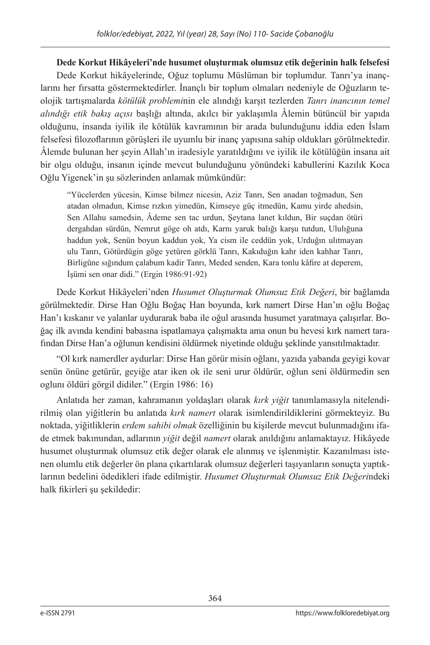# **Dede Korkut Hikâyeleri'nde husumet oluşturmak olumsuz etik değerinin halk felsefesi** Dede Korkut hikâyelerinde, Oğuz toplumu Müslüman bir toplumdur. Tanrı'ya inançlarını her fırsatta göstermektedirler. İnançlı bir toplum olmaları nedeniyle de Oğuzların teolojik tartışmalarda *kötülük problemi*nin ele alındığı karşıt tezlerden *Tanrı inancının temel alındığı etik bakış açısı* başlığı altında, akılcı bir yaklaşımla Âlemin bütüncül bir yapıda olduğunu, insanda iyilik ile kötülük kavramının bir arada bulunduğunu iddia eden İslam felsefesi filozoflarının görüşleri ile uyumlu bir inanç yapısına sahip oldukları görülmektedir. Âlemde bulunan her şeyin Allah'ın iradesiyle yaratıldığını ve iyilik ile kötülüğün insana ait bir olgu olduğu, insanın içinde mevcut bulunduğunu yönündeki kabullerini Kazılık Koca Oğlu Yigenek'in şu sözlerinden anlamak mümkündür:

"Yücelerden yücesin, Kimse bilmez nicesin, Aziz Tanrı, Sen anadan toğmadun, Sen atadan olmadun, Kimse rızkın yimedün, Kimseye güç itmedün, Kamu yirde ahedsin, Sen Allahu samedsin, Âdeme sen tac urdun, Şeytana lanet kıldun, Bir suçdan ötüri dergahdan sürdün, Nemrut göge oh atdı, Karnı yaruk balığı karşu tutdun, Ululığuna haddun yok, Senün boyun kaddun yok, Ya cism ile ceddün yok, Urduğın ulıtmayan ulu Tanrı, Götürdügin göge yetüren görklü Tanrı, Kakıduğın kahr iden kahhar Tanrı, Birligüne sığındum çalabum kadir Tanrı, Meded senden, Kara tonlu kâfire at deperem, İşümi sen onar didi." (Ergin 1986:91-92)

Dede Korkut Hikâyeleri'nden *Husumet Oluşturmak Olumsuz Etik Değeri*, bir bağlamda görülmektedir. Dirse Han Oğlu Boğaç Han boyunda, kırk namert Dirse Han'ın oğlu Boğaç Han'ı kıskanır ve yalanlar uydurarak baba ile oğul arasında husumet yaratmaya çalışırlar. Boğaç ilk avında kendini babasına ispatlamaya çalışmakta ama onun bu hevesi kırk namert tarafından Dirse Han'a oğlunun kendisini öldürmek niyetinde olduğu şeklinde yansıtılmaktadır.

"Ol kırk namerdler aydurlar: Dirse Han görür misin oğlanı, yazıda yabanda geyigi kovar senün önüne getürür, geyiğe atar iken ok ile seni urur öldürür, oğlun seni öldürmedin sen oglunı öldüri görgil didiler." (Ergin 1986: 16)

Anlatıda her zaman, kahramanın yoldaşları olarak *kırk yiğit* tanımlamasıyla nitelendirilmiş olan yiğitlerin bu anlatıda *kırk namert* olarak isimlendirildiklerini görmekteyiz. Bu noktada, yiğitliklerin *erdem sahibi olmak* özelliğinin bu kişilerde mevcut bulunmadığını ifade etmek bakımından, adlarının *yiğit* değil *namert* olarak anıldığını anlamaktayız. Hikâyede husumet oluşturmak olumsuz etik değer olarak ele alınmış ve işlenmiştir. Kazanılması istenen olumlu etik değerler ön plana çıkartılarak olumsuz değerleri taşıyanların sonuçta yaptıklarının bedelini ödedikleri ifade edilmiştir. *Husumet Oluşturmak Olumsuz Etik Değeri*ndeki halk fikirleri şu şekildedir: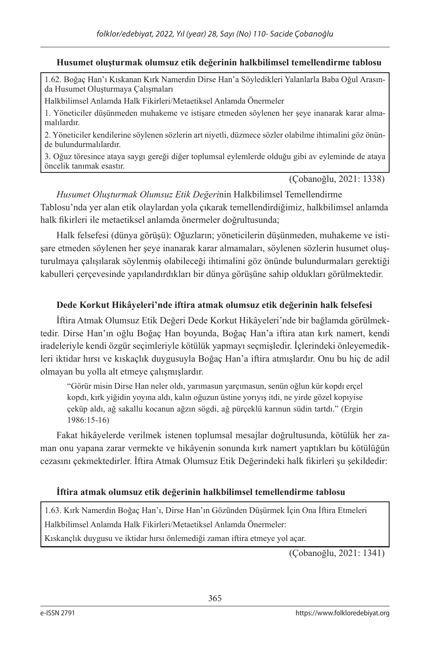## **Husumet oluşturmak olumsuz etik değerinin halkbilimsel temellendirme tablosu**

1.62. Boğaç Han'ı Kıskanan Kırk Namerdin Dirse Han'a Söyledikleri Yalanlarla Baba Oğul Arasında Husumet Oluşturmaya Çalışmaları

Halkbilimsel Anlamda Halk Fikirleri/Metaetiksel Anlamda Önermeler

1. Yöneticiler düşünmeden muhakeme ve istişare etmeden söylenen her şeye inanarak karar almamalılardır.

2. Yöneticiler kendilerine söylenen sözlerin art niyetli, düzmece sözler olabilme ihtimalini göz önünde bulundurmalılardır.

3. Oğuz töresince ataya saygı gereği diğer toplumsal eylemlerde olduğu gibi av eyleminde de ataya öncelik tanımak esastır.

(Çobanoğlu, 2021: 1338)

*Husumet Oluşturmak Olumsuz Etik Değeri*nin Halkbilimsel Temellendirme Tablosu'nda yer alan etik olaylardan yola çıkarak temellendirdiğimiz, halkbilimsel anlamda halk fikirleri ile metaetiksel anlamda önermeler doğrultusunda;

Halk felsefesi (dünya görüşü): Oğuzların; yöneticilerin düşünmeden, muhakeme ve istişare etmeden söylenen her şeye inanarak karar almamaları, söylenen sözlerin husumet oluşturulmaya çalışılarak söylenmiş olabileceği ihtimalini göz önünde bulundurmaları gerektiği kabulleri çerçevesinde yapılandırdıkları bir dünya görüşüne sahip oldukları görülmektedir.

## **Dede Korkut Hikâyeleri'nde iftira atmak olumsuz etik değerinin halk felsefesi**

İftira Atmak Olumsuz Etik Değeri Dede Korkut Hikâyeleri'nde bir bağlamda görülmektedir. Dirse Han'ın oğlu Boğaç Han boyunda, Boğaç Han'a iftira atan kırk namert, kendi iradeleriyle kendi özgür seçimleriyle kötülük yapmayı seçmişledir. İçlerindeki önleyemedikleri iktidar hırsı ve kıskaçlık duygusuyla Boğaç Han'a iftira atmışlardır. Onu bu hiç de adil olmayan bu yolla alt etmeye çalışmışlardır.

"Görür misin Dirse Han neler oldı, yarımasun yarçımasun, senün oğlun kür kopdı erçel kopdı, kırk yiğidin yoyına aldı, kalın oğuzun üstine yorıyış itdi, ne yirde gözel kopıyise çeküp aldı, ağ sakallu kocanun ağzın sögdi, ağ pürçeklü karınun südin tartdı." (Ergin 1986:15-16)

Fakat hikâyelerde verilmek istenen toplumsal mesajlar doğrultusunda, kötülük her zaman onu yapana zarar vermekte ve hikâyenin sonunda kırk namert yaptıkları bu kötülüğün cezasını çekmektedirler. İftira Atmak Olumsuz Etik Değerindeki halk fikirleri şu şekildedir:

## **İftira atmak olumsuz etik değerinin halkbilimsel temellendirme tablosu**

1.63. Kırk Namerdin Boğaç Han'ı, Dirse Han'ın Gözünden Düşürmek İçin Ona İftira Etmeleri Halkbilimsel Anlamda Halk Fikirleri/Metaetiksel Anlamda Önermeler:

Kıskançlık duygusu ve iktidar hırsı önlemediği zaman iftira etmeye yol açar.

(Çobanoğlu, 2021: 1341)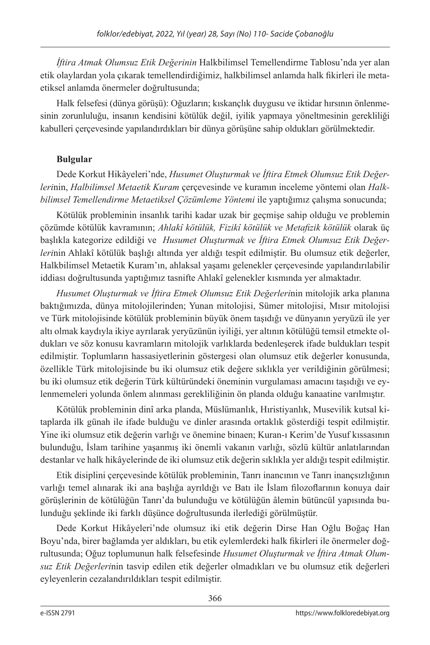*İftira Atmak Olumsuz Etik Değerinin* Halkbilimsel Temellendirme Tablosu'nda yer alan etik olaylardan yola çıkarak temellendirdiğimiz, halkbilimsel anlamda halk fikirleri ile metaetiksel anlamda önermeler doğrultusunda;

Halk felsefesi (dünya görüşü): Oğuzların; kıskançlık duygusu ve iktidar hırsının önlenmesinin zorunluluğu, insanın kendisini kötülük değil, iyilik yapmaya yöneltmesinin gerekliliği kabulleri çerçevesinde yapılandırdıkları bir dünya görüşüne sahip oldukları görülmektedir.

# **Bulgular**

Dede Korkut Hikâyeleri'nde, *Husumet Oluşturmak ve İftira Etmek Olumsuz Etik Değerleri*nin, *Halbilimsel Metaetik Kuram* çerçevesinde ve kuramın inceleme yöntemi olan *Halkbilimsel Temellendirme Metaetiksel Çözümleme Yöntemi* ile yaptığımız çalışma sonucunda;

Kötülük probleminin insanlık tarihi kadar uzak bir geçmişe sahip olduğu ve problemin çözümde kötülük kavramının; *Ahlakî kötülük, Fizikî kötülük ve Metafizik kötülük* olarak üç başlıkla kategorize edildiği ve *Husumet Oluşturmak ve İftira Etmek Olumsuz Etik Değerleri*nin Ahlakî kötülük başlığı altında yer aldığı tespit edilmiştir. Bu olumsuz etik değerler, Halkbilimsel Metaetik Kuram'ın, ahlaksal yaşamı gelenekler çerçevesinde yapılandırılabilir iddiası doğrultusunda yaptığımız tasnifte Ahlakî gelenekler kısmında yer almaktadır.

*Husumet Oluşturmak ve İftira Etmek Olumsuz Etik Değerleri*nin mitolojik arka planına baktığımızda, dünya mitolojilerinden; Yunan mitolojisi, Sümer mitolojisi, Mısır mitolojisi ve Türk mitolojisinde kötülük probleminin büyük önem taşıdığı ve dünyanın yeryüzü ile yer altı olmak kaydıyla ikiye ayrılarak yeryüzünün iyiliği, yer altının kötülüğü temsil etmekte oldukları ve söz konusu kavramların mitolojik varlıklarda bedenleşerek ifade buldukları tespit edilmiştir. Toplumların hassasiyetlerinin göstergesi olan olumsuz etik değerler konusunda, özellikle Türk mitolojisinde bu iki olumsuz etik değere sıklıkla yer verildiğinin görülmesi; bu iki olumsuz etik değerin Türk kültüründeki öneminin vurgulaması amacını taşıdığı ve eylenmemeleri yolunda önlem alınması gerekliliğinin ön planda olduğu kanaatine varılmıştır.

Kötülük probleminin dinî arka planda, Müslümanlık, Hıristiyanlık, Musevilik kutsal kitaplarda ilk günah ile ifade bulduğu ve dinler arasında ortaklık gösterdiği tespit edilmiştir. Yine iki olumsuz etik değerin varlığı ve önemine binaen; Kuran-ı Kerim'de Yusuf kıssasının bulunduğu, İslam tarihine yaşanmış iki önemli vakanın varlığı, sözlü kültür anlatılarından destanlar ve halk hikâyelerinde de iki olumsuz etik değerin sıklıkla yer aldığı tespit edilmiştir.

Etik disiplini çerçevesinde kötülük probleminin, Tanrı inancının ve Tanrı inançsızlığının varlığı temel alınarak iki ana başlığa ayrıldığı ve Batı ile İslam filozoflarının konuya dair görüşlerinin de kötülüğün Tanrı'da bulunduğu ve kötülüğün âlemin bütüncül yapısında bulunduğu şeklinde iki farklı düşünce doğrultusunda ilerlediği görülmüştür.

Dede Korkut Hikâyeleri'nde olumsuz iki etik değerin Dirse Han Oğlu Boğaç Han Boyu'nda, birer bağlamda yer aldıkları, bu etik eylemlerdeki halk fikirleri ile önermeler doğrultusunda; Oğuz toplumunun halk felsefesinde *Husumet Oluşturmak ve İftira Atmak Olumsuz Etik Değerleri*nin tasvip edilen etik değerler olmadıkları ve bu olumsuz etik değerleri eyleyenlerin cezalandırıldıkları tespit edilmiştir.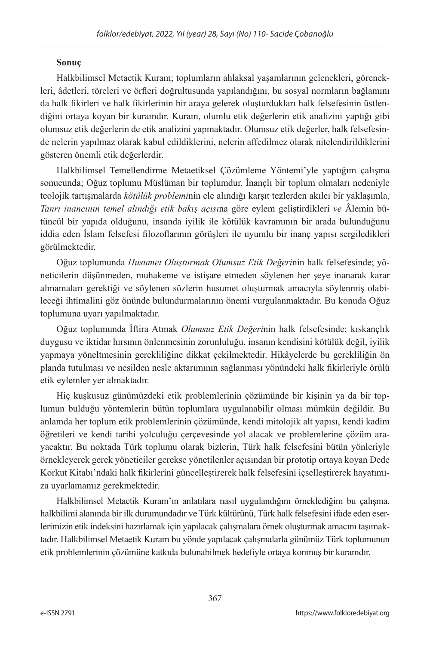## **Sonuç**

Halkbilimsel Metaetik Kuram; toplumların ahlaksal yaşamlarının gelenekleri, görenekleri, âdetleri, töreleri ve örfleri doğrultusunda yapılandığını, bu sosyal normların bağlamını da halk fikirleri ve halk fikirlerinin bir araya gelerek oluşturdukları halk felsefesinin üstlendiğini ortaya koyan bir kuramdır. Kuram, olumlu etik değerlerin etik analizini yaptığı gibi olumsuz etik değerlerin de etik analizini yapmaktadır. Olumsuz etik değerler, halk felsefesinde nelerin yapılmaz olarak kabul edildiklerini, nelerin affedilmez olarak nitelendirildiklerini gösteren önemli etik değerlerdir.

Halkbilimsel Temellendirme Metaetiksel Çözümleme Yöntemi'yle yaptığım çalışma sonucunda; Oğuz toplumu Müslüman bir toplumdur. İnançlı bir toplum olmaları nedeniyle teolojik tartışmalarda *kötülük problemi*nin ele alındığı karşıt tezlerden akılcı bir yaklaşımla, *Tanrı inancının temel alındığı etik bakış açısı*na göre eylem geliştirdikleri *ve* Âlemin bütüncül bir yapıda olduğunu, insanda iyilik ile kötülük kavramının bir arada bulunduğunu iddia eden İslam felsefesi filozoflarının görüşleri ile uyumlu bir inanç yapısı sergiledikleri görülmektedir.

Oğuz toplumunda *Husumet Oluşturmak Olumsuz Etik Değeri*nin halk felsefesinde; yöneticilerin düşünmeden, muhakeme ve istişare etmeden söylenen her şeye inanarak karar almamaları gerektiği ve söylenen sözlerin husumet oluşturmak amacıyla söylenmiş olabileceği ihtimalini göz önünde bulundurmalarının önemi vurgulanmaktadır. Bu konuda Oğuz toplumuna uyarı yapılmaktadır.

Oğuz toplumunda İftira Atmak *Olumsuz Etik Değeri*nin halk felsefesinde; kıskançlık duygusu ve iktidar hırsının önlenmesinin zorunluluğu, insanın kendisini kötülük değil, iyilik yapmaya yöneltmesinin gerekliliğine dikkat çekilmektedir. Hikâyelerde bu gerekliliğin ön planda tutulması ve nesilden nesle aktarımının sağlanması yönündeki halk fikirleriyle örülü etik eylemler yer almaktadır.

Hiç kuşkusuz günümüzdeki etik problemlerinin çözümünde bir kişinin ya da bir toplumun bulduğu yöntemlerin bütün toplumlara uygulanabilir olması mümkün değildir. Bu anlamda her toplum etik problemlerinin çözümünde, kendi mitolojik alt yapısı, kendi kadim öğretileri ve kendi tarihi yolculuğu çerçevesinde yol alacak ve problemlerine çözüm arayacaktır. Bu noktada Türk toplumu olarak bizlerin, Türk halk felsefesini bütün yönleriyle örnekleyerek gerek yöneticiler gerekse yönetilenler açısından bir prototip ortaya koyan Dede Korkut Kitabı'ndaki halk fikirlerini güncelleştirerek halk felsefesini içselleştirerek hayatımıza uyarlamamız gerekmektedir.

Halkbilimsel Metaetik Kuram'ın anlatılara nasıl uygulandığını örneklediğim bu çalışma, halkbilimi alanında bir ilk durumundadır ve Türk kültürünü, Türk halk felsefesini ifade eden eserlerimizin etik indeksini hazırlamak için yapılacak çalışmalara örnek oluşturmak amacını taşımaktadır. Halkbilimsel Metaetik Kuram bu yönde yapılacak çalışmalarla günümüz Türk toplumunun etik problemlerinin çözümüne katkıda bulunabilmek hedefiyle ortaya konmuş bir kuramdır.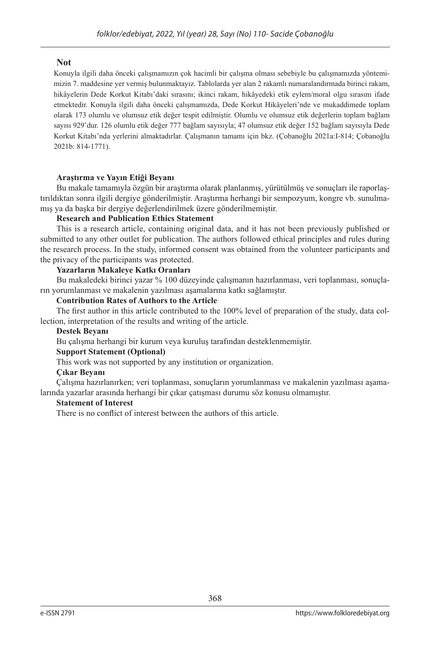## **Not**

Konuyla ilgili daha önceki çalışmamızın çok hacimli bir çalışma olması sebebiyle bu çalışmamızda yöntemimizin 7. maddesine yer vermiş bulunmaktayız. Tablolarda yer alan 2 rakamlı numaralandırmada birinci rakam, hikâyelerin Dede Korkut Kitabı'daki sırasını; ikinci rakam, hikâyedeki etik eylem/moral olgu sırasını ifade etmektedir. Konuyla ilgili daha önceki çalışmamızda, Dede Korkut Hikâyeleri'nde ve mukaddimede toplam olarak 173 olumlu ve olumsuz etik değer tespit edilmiştir. Olumlu ve olumsuz etik değerlerin toplam bağlam sayısı 929'dur. 126 olumlu etik değer 777 bağlam sayısıyla; 47 olumsuz etik değer 152 bağlam sayısıyla Dede Korkut Kitabı'nda yerlerini almaktadırlar. Çalışmanın tamamı için bkz. (Çobanoğlu 2021a:I-814; Çobanoğlu 2021b: 814-1771).

## **Araştırma ve Yayın Etiği Beyanı**

Bu makale tamamıyla özgün bir araştırma olarak planlanmış, yürütülmüş ve sonuçları ile raporlaştırıldıktan sonra ilgili dergiye gönderilmiştir. Araştırma herhangi bir sempozyum, kongre vb. sunulmamış ya da başka bir dergiye değerlendirilmek üzere gönderilmemiştir.

## **Research and Publication Ethics Statement**

This is a research article, containing original data, and it has not been previously published or submitted to any other outlet for publication. The authors followed ethical principles and rules during the research process. In the study, informed consent was obtained from the volunteer participants and the privacy of the participants was protected.

## **Yazarların Makaleye Katkı Oranları**

Bu makaledeki birinci yazar % 100 düzeyinde çalışmanın hazırlanması, veri toplanması, sonuçların yorumlanması ve makalenin yazılması aşamalarına katkı sağlamıştır.

### **Contribution Rates of Authors to the Article**

The first author in this article contributed to the 100% level of preparation of the study, data collection, interpretation of the results and writing of the article.

### **Destek Beyanı**

Bu çalışma herhangi bir kurum veya kuruluş tarafından desteklenmemiştir.

### **Support Statement (Optional)**

This work was not supported by any institution or organization.

## **Çıkar Beyanı**

Çalışma hazırlanırken; veri toplanması, sonuçların yorumlanması ve makalenin yazılması aşamalarında yazarlar arasında herhangi bir çıkar çatışması durumu söz konusu olmamıştır.

### **Statement of Interest**

There is no conflict of interest between the authors of this article.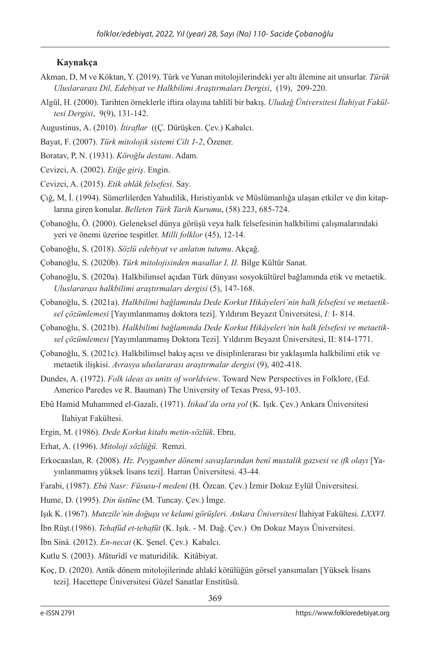## **Kaynakça**

- Akman, D, M ve Köktan, Y. (2019). Türk ve Yunan mitolojilerindeki yer altı âlemine ait unsurlar. *Türük Uluslararası Dil, Edebiyat ve Halkbilimi Araştırmaları Dergisi*, (19), 209-220.
- Algül, H. (2000). Tarihten örneklerle iftira olayına tahlilî bir bakış. *Uludağ Üniversitesi İlahiyat Fakültesi Dergisi*, 9(9), 131-142.
- Augustinus, A. (2010). *İtiraflar* ((Ç. Dürüşken. Çev.) Kabalcı.
- Bayat, F. (2007). *Türk mitolojik sistemi Cilt 1-2*, Özener.
- Boratav, P, N. (1931). *Köroğlu destanı*. Adam.
- Cevizci, A. (2002). *Etiğe giriş*. Engin.
- Cevizci, A. (2015). *Etik ahlâk felsefesi*. Say.
- Çığ, M, İ. (1994). Sümerlilerden Yahudilik, Hıristiyanlık ve Müslümanlığa ulaşan etkiler ve din kitaplarına giren konular. *Belleten Türk Tarih Kurumu*, (58) 223, 685-724.
- Çobanoğlu, Ö. (2000). Geleneksel dünya görüşü veya halk felsefesinin halkbilimi çalışmalarındaki yeri ve önemi üzerine tespitler. *Milli folklor* (45), 12-14.
- Çobanoğlu, S. (2018). *Sözlü edebiyat ve anlatım tutumu*. Akçağ.
- Çobanoğlu, S. (2020b). *Türk mitolojisinden masallar I, II*. Bilge Kültür Sanat.
- Çobanoğlu, S. (2020a). Halkbilimsel açıdan Türk dünyası sosyokültürel bağlamında etik ve metaetik. *Uluslararası halkbilimi araştırmaları dergisi* (5), 147-168*.*
- Çobanoğlu, S. (2021a). *Halkbilimi bağlamında Dede Korkut Hikâyeleri'nin halk felsefesi ve metaetiksel çözümlemesi* [Yayımlanmamış doktora tezi]. Yıldırım Beyazıt Üniversitesi, *I:* I- 814.
- Çobanoğlu, S. (2021b). *Halkbilimi bağlamında Dede Korkut Hikâyeleri'nin halk felsefesi ve metaetiksel çözümlemesi* [Yayımlanmamış Doktora Tezi]. Yıldırım Beyazıt Üniversitesi, II: 814-1771.
- Çobanoğlu, S. (2021c). Halkbilimsel bakış açısı ve disiplinlerarası bir yaklaşımla halkbilimi etik ve metaetik ilişkisi. *Avrasya uluslararası araştırmalar dergisi* (9), 402-418.
- Dundes, A. (1972). *Folk ideas as units of worldview*. Toward New Perspectives in Folklore, (Ed. Americo Paredes ve R. Bauman) The University of Texas Press, 93-103.
- Ebû Hamid Muhammed el-Gazali, (1971). *İtikad'da orta yol* (K. Işık. Çev.) Ankara Üniversitesi İlahiyat Fakültesi.
- Ergin, M. (1986). *Dede Korkut kitabı metin-sözlük*. Ebru.
- Erhat, A. (1996). *Mitoloji sözlüğü*. Remzi.
- Erkocaaslan, R. (2008). *Hz. Peygamber dönemi savaşlarından benî mustalik gazvesi ve ifk olayı* [Yayınlanmamış yüksek lisans tezi]. Harran Üniversitesi. 43-44.
- Farabi, (1987). *Ebû Nasr: Füsusu-l medeni* (H. Özcan. Çev.) İzmir Dokuz Eylül Üniversitesi.
- Hume, D. (1995). *Din üstüne* (M. Tuncay. Çev.) İmge.
- Işık K. (1967). *Mutezile'nin doğuşu ve kelami görüşleri. Ankara Üniversitesi* İlahiyat Fakültesi. *LXXVI.*
- İbn Rüşt.(1986). *Tehafüd et-tehafüt* (K. Işık. M. Dağ. Çev.) On Dokuz Mayıs Üniversitesi.
- İbn Sinâ. (2012). *En-necat* (K. Şenel. Çev.) Kabalcı.
- Kutlu S. (2003). *M*âturîdî ve maturidilik. Kitâbiyat.
- Koç, D. (2020). Antik dönem mitolojilerinde ahlakî kötülüğün görsel yansımaları [Yüksek lisans tezi]. Hacettepe Üniversitesi Güzel Sanatlar Enstitüsü.